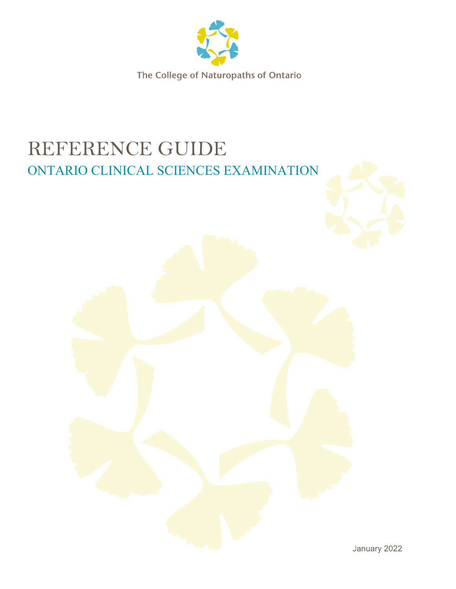

# REFERENCE GUIDE ONTARIO CLINICAL SCIENCES EXAMINATION



January <sup>2022</sup>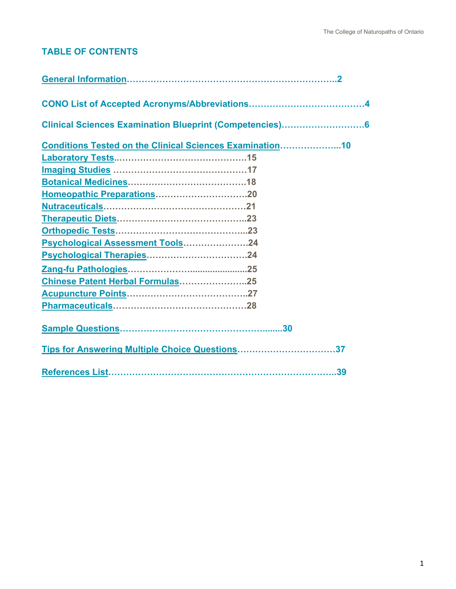## **TABLE OF CONTENTS**

| Clinical Sciences Examination Blueprint (Competencies)6  |
|----------------------------------------------------------|
| Conditions Tested on the Clinical Sciences Examination10 |
|                                                          |
|                                                          |
|                                                          |
|                                                          |
|                                                          |
|                                                          |
|                                                          |
| Psychological Assessment Tools24                         |
|                                                          |
|                                                          |
| Chinese Patent Herbal Formulas25                         |
|                                                          |
|                                                          |
|                                                          |
| Tips for Answering Multiple Choice Questions37           |
|                                                          |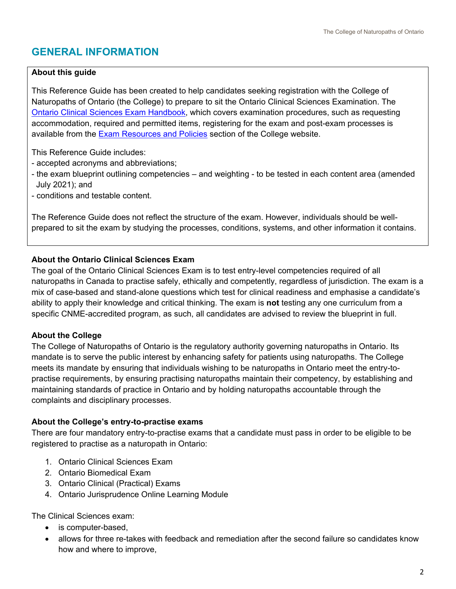## <span id="page-2-0"></span>**GENERAL INFORMATION**

#### **About this guide**

This Reference Guide has been created to help candidates seeking registration with the College of Naturopaths of Ontario (the College) to prepare to sit the Ontario Clinical Sciences Examination. The [Ontario Clinical Sciences Exam Handbook,](https://www.collegeofnaturopaths.on.ca/resource-library/ontario-clinical-sciences-and-ontario-biomedical-exam-handbook/) which covers examination procedures, such as requesting accommodation, required and permitted items, registering for the exam and post-exam processes is available from the **Exam Resources and Policies section of the College website.** 

This Reference Guide includes:

- accepted acronyms and abbreviations;
- the exam blueprint outlining competencies and weighting to be tested in each content area (amended July 2021); and
- conditions and testable content.

The Reference Guide does not reflect the structure of the exam. However, individuals should be wellprepared to sit the exam by studying the processes, conditions, systems, and other information it contains.

#### **About the Ontario Clinical Sciences Exam**

The goal of the Ontario Clinical Sciences Exam is to test entry-level competencies required of all naturopaths in Canada to practise safely, ethically and competently, regardless of jurisdiction. The exam is a mix of case-based and stand-alone questions which test for clinical readiness and emphasise a candidate's ability to apply their knowledge and critical thinking. The exam is **not** testing any one curriculum from a specific CNME-accredited program, as such, all candidates are advised to review the blueprint in full.

#### **About the College**

The College of Naturopaths of Ontario is the regulatory authority governing naturopaths in Ontario. Its mandate is to serve the public interest by enhancing safety for patients using naturopaths. The College meets its mandate by ensuring that individuals wishing to be naturopaths in Ontario meet the entry-topractise requirements, by ensuring practising naturopaths maintain their competency, by establishing and maintaining standards of practice in Ontario and by holding naturopaths accountable through the complaints and disciplinary processes.

#### **About the College's entry-to-practise exams**

There are four mandatory entry-to-practise exams that a candidate must pass in order to be eligible to be registered to practise as a naturopath in Ontario:

- 1. Ontario Clinical Sciences Exam
- 2. Ontario Biomedical Exam
- 3. Ontario Clinical (Practical) Exams
- 4. Ontario Jurisprudence Online Learning Module

The Clinical Sciences exam:

- is computer-based,
- allows for three re-takes with feedback and remediation after the second failure so candidates know how and where to improve,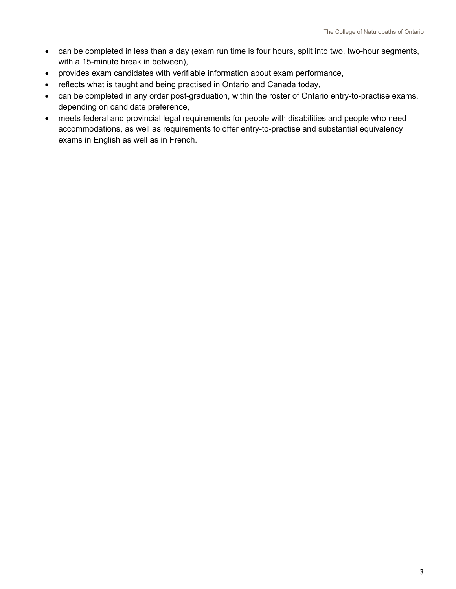- can be completed in less than a day (exam run time is four hours, split into two, two-hour segments, with a 15-minute break in between),
- provides exam candidates with verifiable information about exam performance,
- reflects what is taught and being practised in Ontario and Canada today,
- can be completed in any order post-graduation, within the roster of Ontario entry-to-practise exams, depending on candidate preference,
- <span id="page-3-0"></span>• meets federal and provincial legal requirements for people with disabilities and people who need accommodations, as well as requirements to offer entry-to-practise and substantial equivalency exams in English as well as in French.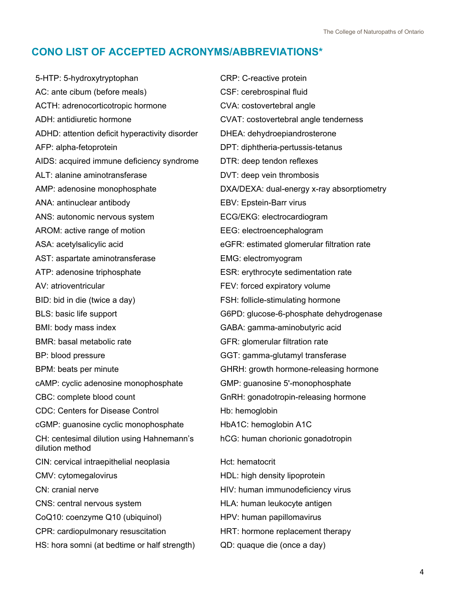## **CONO LIST OF ACCEPTED ACRONYMS/ABBREVIATIONS\***

5-HTP: 5-hydroxytryptophan CRP: C-reactive protein AC: ante cibum (before meals) CSF: cerebrospinal fluid ACTH: adrenocorticotropic hormone CVA: costovertebral angle ADH: antidiuretic hormone CVAT: costovertebral angle tenderness ADHD: attention deficit hyperactivity disorder DHEA: dehydroepiandrosterone AFP: alpha-fetoprotein DPT: diphtheria-pertussis-tetanus AIDS: acquired immune deficiency syndrome DTR: deep tendon reflexes ALT: alanine aminotransferase The COVT: deep vein thrombosis AMP: adenosine monophosphate **DXA/DEXA: dual-energy x-ray absorptiometry** ANA: antinuclear antibody EBV: Epstein-Barr virus ANS: autonomic nervous system ECG/EKG: electrocardiogram AROM: active range of motion EEG: electroencephalogram ASA: acetylsalicylic acid eGFR: estimated glomerular filtration rate AST: aspartate aminotransferase EMG: electromyogram ATP: adenosine triphosphate ESR: erythrocyte sedimentation rate AV: atrioventricular expirators and the FEV: forced expiratory volume BID: bid in die (twice a day) FSH: follicle-stimulating hormone BLS: basic life support G6PD: glucose-6-phosphate dehydrogenase BMI: body mass index GABA: gamma-aminobutyric acid BMR: basal metabolic rate GFR: glomerular filtration rate BP: blood pressure GGT: gamma-glutamyl transferase BPM: beats per minute **GHRH:** growth hormone-releasing hormone cAMP: cyclic adenosine monophosphate GMP: guanosine 5'-monophosphate CBC: complete blood count GnRH: gonadotropin-releasing hormone CDC: Centers for Disease Control Hb: hemoglobin cGMP: guanosine cyclic monophosphate HbA1C: hemoglobin A1C CH: centesimal dilution using Hahnemann's dilution method hCG: human chorionic gonadotropin CIN: cervical intraepithelial neoplasia http://edu.html CMV: cytomegalovirus HDL: high density lipoprotein CN: cranial nerve **CN:** cranial nerve **HIV:** human immunodeficiency virus CNS: central nervous system HLA: human leukocyte antigen CoQ10: coenzyme Q10 (ubiquinol) HPV: human papillomavirus CPR: cardiopulmonary resuscitation HRT: hormone replacement therapy HS: hora somni (at bedtime or half strength) QD: quaque die (once a day)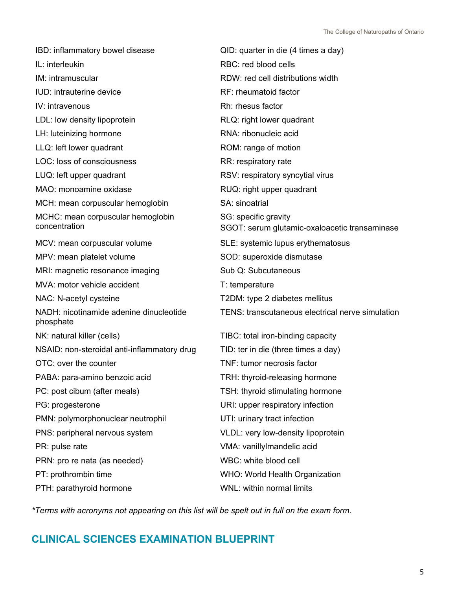| IBD: inflammatory bowel disease                      | QID: quarter in die (4 times a day)                                   |
|------------------------------------------------------|-----------------------------------------------------------------------|
| IL: interleukin                                      | RBC: red blood cells                                                  |
| IM: intramuscular                                    | RDW: red cell distributions width                                     |
| IUD: intrauterine device                             | RF: rheumatoid factor                                                 |
| IV: intravenous                                      | Rh: rhesus factor                                                     |
| LDL: low density lipoprotein                         | RLQ: right lower quadrant                                             |
| LH: luteinizing hormone                              | RNA: ribonucleic acid                                                 |
| LLQ: left lower quadrant                             | ROM: range of motion                                                  |
| LOC: loss of consciousness                           | RR: respiratory rate                                                  |
| LUQ: left upper quadrant                             | RSV: respiratory syncytial virus                                      |
| MAO: monoamine oxidase                               | RUQ: right upper quadrant                                             |
| MCH: mean corpuscular hemoglobin                     | SA: sinoatrial                                                        |
| MCHC: mean corpuscular hemoglobin<br>concentration   | SG: specific gravity<br>SGOT: serum glutamic-oxaloacetic transaminase |
| MCV: mean corpuscular volume                         | SLE: systemic lupus erythematosus                                     |
| MPV: mean platelet volume                            | SOD: superoxide dismutase                                             |
| MRI: magnetic resonance imaging                      | Sub Q: Subcutaneous                                                   |
| MVA: motor vehicle accident                          | T: temperature                                                        |
| NAC: N-acetyl cysteine                               | T2DM: type 2 diabetes mellitus                                        |
| NADH: nicotinamide adenine dinucleotide<br>phosphate | TENS: transcutaneous electrical nerve simulation                      |
| NK: natural killer (cells)                           | TIBC: total iron-binding capacity                                     |
| NSAID: non-steroidal anti-inflammatory drug          | TID: ter in die (three times a day)                                   |
| OTC: over the counter                                | TNF: tumor necrosis factor                                            |
| PABA: para-amino benzoic acid                        | TRH: thyroid-releasing hormone                                        |
| PC: post cibum (after meals)                         | TSH: thyroid stimulating hormone                                      |
| PG: progesterone                                     | URI: upper respiratory infection                                      |
| PMN: polymorphonuclear neutrophil                    | UTI: urinary tract infection                                          |
| PNS: peripheral nervous system                       | VLDL: very low-density lipoprotein                                    |
| PR: pulse rate                                       | VMA: vanillylmandelic acid                                            |
| PRN: pro re nata (as needed)                         | WBC: white blood cell                                                 |
| PT: prothrombin time                                 | WHO: World Health Organization                                        |
| PTH: parathyroid hormone                             | WNL: within normal limits                                             |

*\*Terms with acronyms not appearing on this list will be spelt out in full on the exam form.*

## <span id="page-5-0"></span>**CLINICAL SCIENCES EXAMINATION BLUEPRINT**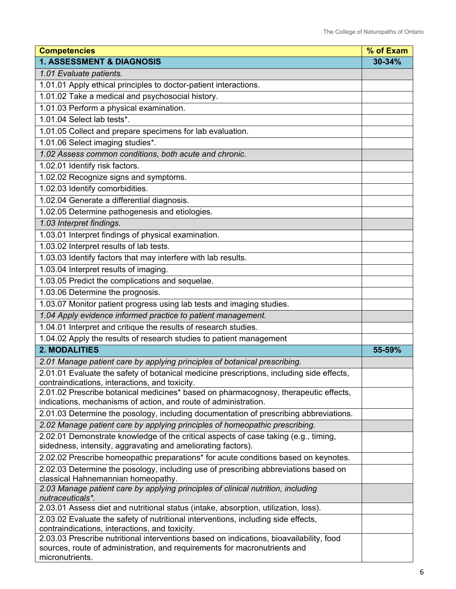| <b>Competencies</b>                                                                                                                                                  | % of Exam |
|----------------------------------------------------------------------------------------------------------------------------------------------------------------------|-----------|
| <b>1. ASSESSMENT &amp; DIAGNOSIS</b>                                                                                                                                 | 30-34%    |
| 1.01 Evaluate patients.                                                                                                                                              |           |
| 1.01.01 Apply ethical principles to doctor-patient interactions.                                                                                                     |           |
| 1.01.02 Take a medical and psychosocial history.                                                                                                                     |           |
| 1.01.03 Perform a physical examination.                                                                                                                              |           |
| 1.01.04 Select lab tests*.                                                                                                                                           |           |
| 1.01.05 Collect and prepare specimens for lab evaluation.                                                                                                            |           |
| 1.01.06 Select imaging studies*.                                                                                                                                     |           |
| 1.02 Assess common conditions, both acute and chronic.                                                                                                               |           |
| 1.02.01 Identify risk factors.                                                                                                                                       |           |
| 1.02.02 Recognize signs and symptoms.                                                                                                                                |           |
| 1.02.03 Identify comorbidities.                                                                                                                                      |           |
| 1.02.04 Generate a differential diagnosis.                                                                                                                           |           |
| 1.02.05 Determine pathogenesis and etiologies.                                                                                                                       |           |
| 1.03 Interpret findings.                                                                                                                                             |           |
| 1.03.01 Interpret findings of physical examination.                                                                                                                  |           |
| 1.03.02 Interpret results of lab tests.                                                                                                                              |           |
| 1.03.03 Identify factors that may interfere with lab results.                                                                                                        |           |
| 1.03.04 Interpret results of imaging.                                                                                                                                |           |
| 1.03.05 Predict the complications and sequelae.                                                                                                                      |           |
| 1.03.06 Determine the prognosis.                                                                                                                                     |           |
| 1.03.07 Monitor patient progress using lab tests and imaging studies.                                                                                                |           |
| 1.04 Apply evidence informed practice to patient management.                                                                                                         |           |
| 1.04.01 Interpret and critique the results of research studies.                                                                                                      |           |
| 1.04.02 Apply the results of research studies to patient management                                                                                                  |           |
| <b>2. MODALITIES</b>                                                                                                                                                 | 55-59%    |
| 2.01 Manage patient care by applying principles of botanical prescribing.                                                                                            |           |
| 2.01.01 Evaluate the safety of botanical medicine prescriptions, including side effects,                                                                             |           |
| contraindications, interactions, and toxicity.                                                                                                                       |           |
| 2.01.02 Prescribe botanical medicines* based on pharmacognosy, therapeutic effects,<br>indications, mechanisms of action, and route of administration.               |           |
| 2.01.03 Determine the posology, including documentation of prescribing abbreviations.                                                                                |           |
| 2.02 Manage patient care by applying principles of homeopathic prescribing.                                                                                          |           |
| 2.02.01 Demonstrate knowledge of the critical aspects of case taking (e.g., timing,                                                                                  |           |
| sidedness, intensity, aggravating and ameliorating factors).                                                                                                         |           |
| 2.02.02 Prescribe homeopathic preparations* for acute conditions based on keynotes.                                                                                  |           |
| 2.02.03 Determine the posology, including use of prescribing abbreviations based on                                                                                  |           |
| classical Hahnemannian homeopathy.                                                                                                                                   |           |
| 2.03 Manage patient care by applying principles of clinical nutrition, including<br>nutraceuticals*.                                                                 |           |
| 2.03.01 Assess diet and nutritional status (intake, absorption, utilization, loss).                                                                                  |           |
| 2.03.02 Evaluate the safety of nutritional interventions, including side effects,                                                                                    |           |
| contraindications, interactions, and toxicity.                                                                                                                       |           |
| 2.03.03 Prescribe nutritional interventions based on indications, bioavailability, food<br>sources, route of administration, and requirements for macronutrients and |           |
| micronutrients.                                                                                                                                                      |           |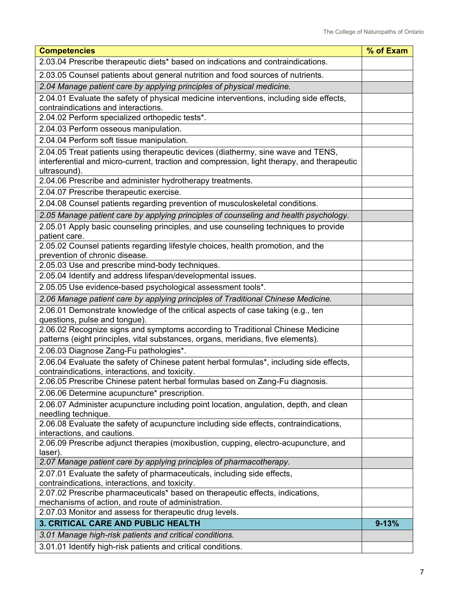| <b>Competencies</b>                                                                                                                                                                            | % of Exam |
|------------------------------------------------------------------------------------------------------------------------------------------------------------------------------------------------|-----------|
| 2.03.04 Prescribe therapeutic diets* based on indications and contraindications.                                                                                                               |           |
| 2.03.05 Counsel patients about general nutrition and food sources of nutrients.                                                                                                                |           |
| 2.04 Manage patient care by applying principles of physical medicine.                                                                                                                          |           |
| 2.04.01 Evaluate the safety of physical medicine interventions, including side effects,<br>contraindications and interactions.                                                                 |           |
| 2.04.02 Perform specialized orthopedic tests*.                                                                                                                                                 |           |
| 2.04.03 Perform osseous manipulation.                                                                                                                                                          |           |
| 2.04.04 Perform soft tissue manipulation.                                                                                                                                                      |           |
| 2.04.05 Treat patients using therapeutic devices (diathermy, sine wave and TENS,<br>interferential and micro-current, traction and compression, light therapy, and therapeutic<br>ultrasound). |           |
| 2.04.06 Prescribe and administer hydrotherapy treatments.                                                                                                                                      |           |
| 2.04.07 Prescribe therapeutic exercise.                                                                                                                                                        |           |
| 2.04.08 Counsel patients regarding prevention of musculoskeletal conditions.                                                                                                                   |           |
| 2.05 Manage patient care by applying principles of counseling and health psychology.                                                                                                           |           |
| 2.05.01 Apply basic counseling principles, and use counseling techniques to provide<br>patient care.                                                                                           |           |
| 2.05.02 Counsel patients regarding lifestyle choices, health promotion, and the<br>prevention of chronic disease.                                                                              |           |
| 2.05.03 Use and prescribe mind-body techniques.                                                                                                                                                |           |
| 2.05.04 Identify and address lifespan/developmental issues.                                                                                                                                    |           |
| 2.05.05 Use evidence-based psychological assessment tools*.                                                                                                                                    |           |
| 2.06 Manage patient care by applying principles of Traditional Chinese Medicine.                                                                                                               |           |
| 2.06.01 Demonstrate knowledge of the critical aspects of case taking (e.g., ten<br>questions, pulse and tongue).                                                                               |           |
| 2.06.02 Recognize signs and symptoms according to Traditional Chinese Medicine<br>patterns (eight principles, vital substances, organs, meridians, five elements).                             |           |
| 2.06.03 Diagnose Zang-Fu pathologies*.                                                                                                                                                         |           |
| 2.06.04 Evaluate the safety of Chinese patent herbal formulas*, including side effects,<br>contraindications, interactions, and toxicity.                                                      |           |
| 2.06.05 Prescribe Chinese patent herbal formulas based on Zang-Fu diagnosis.                                                                                                                   |           |
| 2.06.06 Determine acupuncture* prescription.                                                                                                                                                   |           |
| 2.06.07 Administer acupuncture including point location, angulation, depth, and clean<br>needling technique.                                                                                   |           |
| 2.06.08 Evaluate the safety of acupuncture including side effects, contraindications,<br>interactions, and cautions.                                                                           |           |
| 2.06.09 Prescribe adjunct therapies (moxibustion, cupping, electro-acupuncture, and<br>laser).                                                                                                 |           |
| 2.07 Manage patient care by applying principles of pharmacotherapy.                                                                                                                            |           |
| 2.07.01 Evaluate the safety of pharmaceuticals, including side effects,<br>contraindications, interactions, and toxicity.                                                                      |           |
| 2.07.02 Prescribe pharmaceuticals* based on therapeutic effects, indications,<br>mechanisms of action, and route of administration.                                                            |           |
| 2.07.03 Monitor and assess for therapeutic drug levels.                                                                                                                                        |           |
| 3. CRITICAL CARE AND PUBLIC HEALTH                                                                                                                                                             | $9 - 13%$ |
| 3.01 Manage high-risk patients and critical conditions.                                                                                                                                        |           |
| 3.01.01 Identify high-risk patients and critical conditions.                                                                                                                                   |           |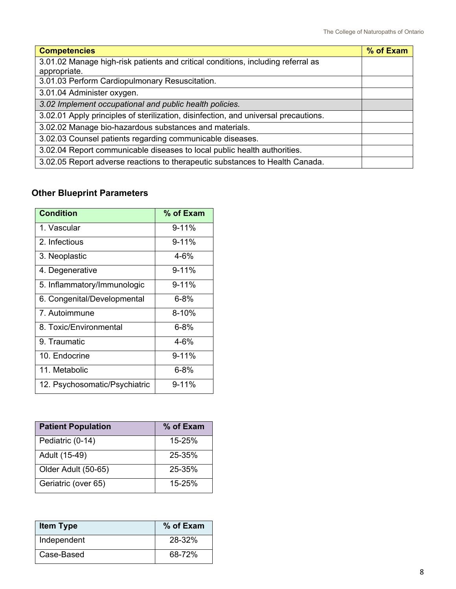| <b>Competencies</b>                                                                 | % of Exam |
|-------------------------------------------------------------------------------------|-----------|
| 3.01.02 Manage high-risk patients and critical conditions, including referral as    |           |
| appropriate.                                                                        |           |
| 3.01.03 Perform Cardiopulmonary Resuscitation.                                      |           |
| 3.01.04 Administer oxygen.                                                          |           |
| 3.02 Implement occupational and public health policies.                             |           |
| 3.02.01 Apply principles of sterilization, disinfection, and universal precautions. |           |
| 3.02.02 Manage bio-hazardous substances and materials.                              |           |
| 3.02.03 Counsel patients regarding communicable diseases.                           |           |
| 3.02.04 Report communicable diseases to local public health authorities.            |           |
| 3.02.05 Report adverse reactions to therapeutic substances to Health Canada.        |           |

## **Other Blueprint Parameters**

| <b>Condition</b>              | % of Exam |
|-------------------------------|-----------|
| 1 Vascular                    | $9 - 11%$ |
| 2 Infectious                  | $9 - 11%$ |
| 3. Neoplastic                 | $4 - 6%$  |
| 4. Degenerative               | $9 - 11%$ |
| 5. Inflammatory/Immunologic   | $9 - 11%$ |
| 6. Congenital/Developmental   | $6 - 8%$  |
| 7. Autoimmune                 | $8 - 10%$ |
| 8. Toxic/Environmental        | $6 - 8%$  |
| 9. Traumatic                  | $4 - 6%$  |
| 10. Endocrine                 | $9 - 11%$ |
| 11. Metabolic                 | $6 - 8%$  |
| 12. Psychosomatic/Psychiatric | $9 - 11%$ |

| <b>Patient Population</b> | % of Exam  |
|---------------------------|------------|
| Pediatric (0-14)          | $15 - 25%$ |
| Adult (15-49)             | 25-35%     |
| Older Adult (50-65)       | 25-35%     |
| Geriatric (over 65)       | 15-25%     |

| <b>Item Type</b> | % of Exam |
|------------------|-----------|
| Independent      | 28-32%    |
| Case-Based       | 68-72%    |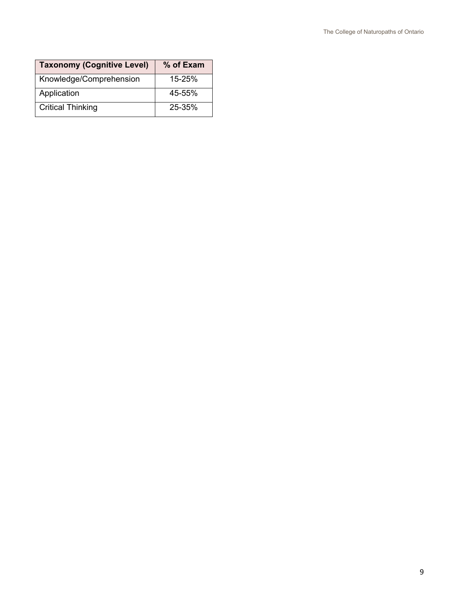<span id="page-9-0"></span>

| <b>Taxonomy (Cognitive Level)</b> | % of Exam  |
|-----------------------------------|------------|
| Knowledge/Comprehension           | $15 - 25%$ |
| Application                       | 45-55%     |
| <b>Critical Thinking</b>          | 25-35%     |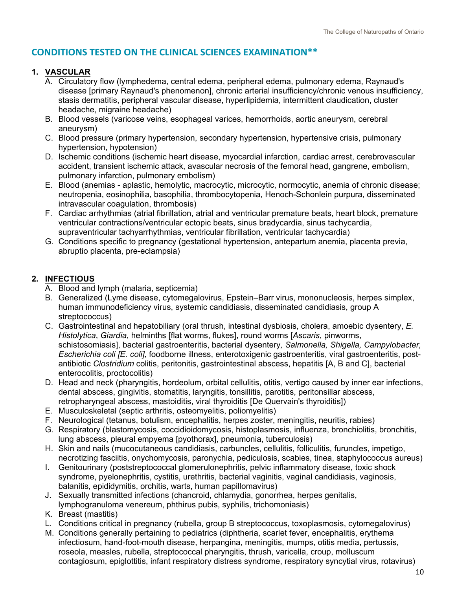## **CONDITIONS TESTED ON THE CLINICAL SCIENCES EXAMINATION\*\***

### **1. VASCULAR**

- A. Circulatory flow (lymphedema, central edema, peripheral edema, pulmonary edema, Raynaud's disease [primary Raynaud's phenomenon], chronic arterial insufficiency/chronic venous insufficiency, stasis dermatitis, peripheral vascular disease, hyperlipidemia, intermittent claudication, cluster headache, migraine headache)
- B. Blood vessels (varicose veins, esophageal varices, hemorrhoids, aortic aneurysm, cerebral aneurysm)
- C. Blood pressure (primary hypertension, secondary hypertension, hypertensive crisis, pulmonary hypertension, hypotension)
- D. Ischemic conditions (ischemic heart disease, myocardial infarction, cardiac arrest, cerebrovascular accident, transient ischemic attack, avascular necrosis of the femoral head, gangrene, embolism, pulmonary infarction, pulmonary embolism)
- E. Blood (anemias aplastic, hemolytic, macrocytic, microcytic, normocytic, anemia of chronic disease; neutropenia, eosinophilia, basophilia, thrombocytopenia, Henoch-Schonlein purpura, disseminated intravascular coagulation, thrombosis)
- F. Cardiac arrhythmias (atrial fibrillation, atrial and ventricular premature beats, heart block, premature ventricular contractions/ventricular ectopic beats, sinus bradycardia, sinus tachycardia, supraventricular tachyarrhythmias, ventricular fibrillation, ventricular tachycardia)
- G. Conditions specific to pregnancy (gestational hypertension, antepartum anemia, placenta previa, abruptio placenta, pre-eclampsia)

## **2. INFECTIOUS**

- A. Blood and lymph (malaria, septicemia)
- B. Generalized (Lyme disease, cytomegalovirus, Epstein–Barr virus, mononucleosis, herpes simplex, human immunodeficiency virus, systemic candidiasis, disseminated candidiasis, group A streptococcus)
- C. Gastrointestinal and hepatobiliary (oral thrush, intestinal dysbiosis, cholera, amoebic dysentery, *E. Histolytica*, *Giardia*, helminths [flat worms, flukes], round worms [*Ascaris*, pinworms, schistosomiasis], bacterial gastroenteritis, bacterial dysentery*, Salmonella, Shigella, Campylobacter, Escherichia coli [E. coli],* foodborne illness, enterotoxigenic gastroenteritis, viral gastroenteritis, postantibiotic *Clostridium* colitis, peritonitis, gastrointestinal abscess, hepatitis [A, B and C], bacterial enterocolitis, proctocolitis)
- D. Head and neck (pharyngitis, hordeolum, orbital cellulitis, otitis, vertigo caused by inner ear infections, dental abscess, gingivitis, stomatitis, laryngitis, tonsillitis, parotitis, peritonsillar abscess, retropharyngeal abscess, mastoiditis, viral thyroiditis [De Quervain's thyroiditis])
- E. Musculoskeletal (septic arthritis, osteomyelitis, poliomyelitis)
- F. Neurological (tetanus, botulism, encephalitis, herpes zoster, meningitis, neuritis, rabies)
- G. Respiratory (blastomycosis, coccidioidomycosis, histoplasmosis, influenza, bronchiolitis, bronchitis, lung abscess, pleural empyema [pyothorax], pneumonia, tuberculosis)
- H. Skin and nails (mucocutaneous candidiasis, carbuncles, cellulitis, folliculitis, furuncles, impetigo, necrotizing fasciitis, onychomycosis, paronychia, pediculosis, scabies, tinea, staphylococcus aureus)
- I. Genitourinary (poststreptococcal glomerulonephritis, pelvic inflammatory disease, toxic shock syndrome, pyelonephritis, cystitis, urethritis, bacterial vaginitis, vaginal candidiasis, vaginosis, balanitis, epididymitis, orchitis, warts, human papillomavirus)
- J. Sexually transmitted infections (chancroid, chlamydia, gonorrhea, herpes genitalis, lymphogranuloma venereum, phthirus pubis, syphilis, trichomoniasis)
- K. Breast (mastitis)
- L. Conditions critical in pregnancy (rubella, group B streptococcus, toxoplasmosis, cytomegalovirus)
- M. Conditions generally pertaining to pediatrics (diphtheria, scarlet fever, encephalitis, erythema infectiosum, hand-foot-mouth disease, herpangina, meningitis, mumps, otitis media, pertussis, roseola, measles, rubella, streptococcal pharyngitis, thrush, varicella, croup, molluscum contagiosum, epiglottitis, infant respiratory distress syndrome, respiratory syncytial virus, rotavirus)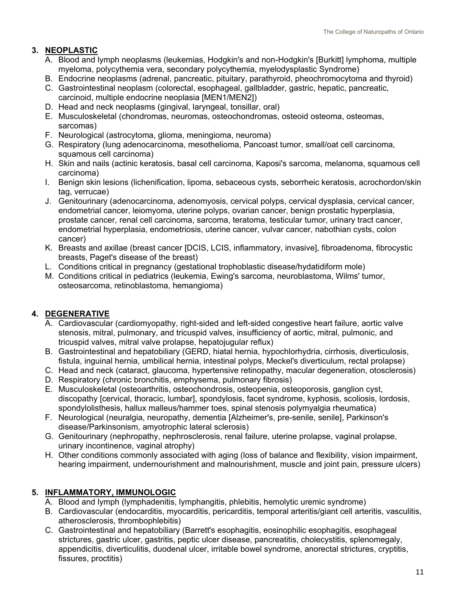## **3. NEOPLASTIC**

- A. Blood and lymph neoplasms (leukemias, Hodgkin's and non-Hodgkin's [Burkitt] lymphoma, multiple myeloma, polycythemia vera, secondary polycythemia, myelodysplastic Syndrome)
- B. Endocrine neoplasms (adrenal, pancreatic, pituitary, parathyroid, pheochromocytoma and thyroid)
- C. Gastrointestinal neoplasm (colorectal, esophageal, gallbladder, gastric, hepatic, pancreatic, carcinoid, multiple endocrine neoplasia [MEN1/MEN2])
- D. Head and neck neoplasms (gingival, laryngeal, tonsillar, oral)
- E. Musculoskeletal (chondromas, neuromas, osteochondromas, osteoid osteoma, osteomas, sarcomas)
- F. Neurological (astrocytoma, glioma, meningioma, neuroma)
- G. Respiratory (lung adenocarcinoma, mesothelioma, Pancoast tumor, small/oat cell carcinoma, squamous cell carcinoma)
- H. Skin and nails (actinic keratosis, basal cell carcinoma, Kaposi's sarcoma, melanoma, squamous cell carcinoma)
- I. Benign skin lesions (lichenification, lipoma, sebaceous cysts, seborrheic keratosis, acrochordon/skin tag, verrucae)
- J. Genitourinary (adenocarcinoma, adenomyosis, cervical polyps, cervical dysplasia, cervical cancer, endometrial cancer, leiomyoma, uterine polyps, ovarian cancer, benign prostatic hyperplasia, prostate cancer, renal cell carcinoma, sarcoma, teratoma, testicular tumor, urinary tract cancer, endometrial hyperplasia, endometriosis, uterine cancer, vulvar cancer, nabothian cysts, colon cancer)
- K. Breasts and axillae (breast cancer [DCIS, LCIS, inflammatory, invasive], fibroadenoma, fibrocystic breasts, Paget's disease of the breast)
- L. Conditions critical in pregnancy (gestational trophoblastic disease/hydatidiform mole)
- M. Conditions critical in pediatrics (leukemia, Ewing's sarcoma, neuroblastoma, Wilms' tumor, osteosarcoma, retinoblastoma, hemangioma)

## **4. DEGENERATIVE**

- A. Cardiovascular (cardiomyopathy, right-sided and left-sided congestive heart failure, aortic valve stenosis, mitral, pulmonary, and tricuspid valves, insufficiency of aortic, mitral, pulmonic, and tricuspid valves, mitral valve prolapse, hepatojugular reflux)
- B. Gastrointestinal and hepatobiliary (GERD, hiatal hernia, hypochlorhydria, cirrhosis, diverticulosis, fistula, inguinal hernia, umbilical hernia, intestinal polyps, Meckel's diverticulum, rectal prolapse)
- C. Head and neck (cataract, glaucoma, hypertensive retinopathy, macular degeneration, otosclerosis)
- D. Respiratory (chronic bronchitis, emphysema, pulmonary fibrosis)
- E. Musculoskeletal (osteoarthritis, osteochondrosis, osteopenia, osteoporosis, ganglion cyst, discopathy [cervical, thoracic, lumbar], spondylosis, facet syndrome, kyphosis, scoliosis, lordosis, spondylolisthesis, hallux malleus/hammer toes, spinal stenosis polymyalgia rheumatica)
- F. Neurological (neuralgia, neuropathy, dementia [Alzheimer's, pre-senile, senile], Parkinson's disease/Parkinsonism, amyotrophic lateral sclerosis)
- G. Genitourinary (nephropathy, nephrosclerosis, renal failure, uterine prolapse, vaginal prolapse, urinary incontinence, vaginal atrophy)
- H. Other conditions commonly associated with aging (loss of balance and flexibility, vision impairment, hearing impairment, undernourishment and malnourishment, muscle and joint pain, pressure ulcers)

## **5. INFLAMMATORY, IMMUNOLOGIC**

- A. Blood and lymph (lymphadenitis, lymphangitis, phlebitis, hemolytic uremic syndrome)
- B. Cardiovascular (endocarditis, myocarditis, pericarditis, temporal arteritis/giant cell arteritis, vasculitis, atherosclerosis, thrombophlebitis)
- C. Gastrointestinal and hepatobiliary (Barrett's esophagitis, eosinophilic esophagitis, esophageal strictures, gastric ulcer, gastritis, peptic ulcer disease, pancreatitis, cholecystitis, splenomegaly, appendicitis, diverticulitis, duodenal ulcer, irritable bowel syndrome, anorectal strictures, cryptitis, fissures, proctitis)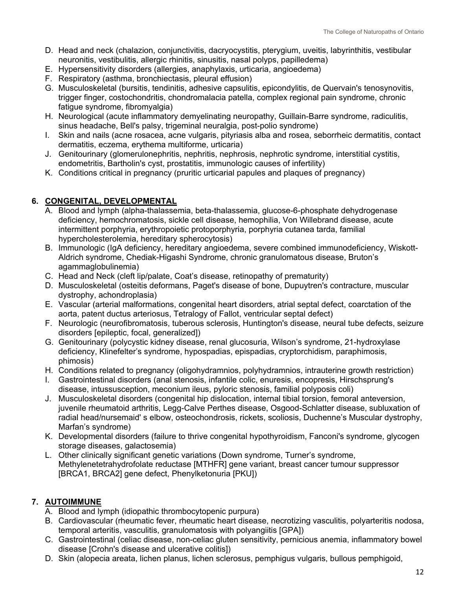- D. Head and neck (chalazion, conjunctivitis, dacryocystitis, pterygium, uveitis, labyrinthitis, vestibular neuronitis, vestibulitis, allergic rhinitis, sinusitis, nasal polyps, papilledema)
- E. Hypersensitivity disorders (allergies, anaphylaxis, urticaria, angioedema)
- F. Respiratory (asthma, bronchiectasis, pleural effusion)
- G. Musculoskeletal (bursitis, tendinitis, adhesive capsulitis, epicondylitis, de Quervain's tenosynovitis, trigger finger, costochondritis, chondromalacia patella, complex regional pain syndrome, chronic fatigue syndrome, fibromyalgia)
- H. Neurological (acute inflammatory demyelinating neuropathy, Guillain-Barre syndrome, radiculitis, sinus headache, Bell's palsy, trigeminal neuralgia, post-polio syndrome)
- I. Skin and nails (acne rosacea, acne vulgaris, pityriasis alba and rosea, seborrheic dermatitis, contact dermatitis, eczema, erythema multiforme, urticaria)
- J. Genitourinary (glomerulonephritis, nephritis, nephrosis, nephrotic syndrome, interstitial cystitis, endometritis, Bartholin's cyst, prostatitis, immunologic causes of infertility)
- K. Conditions critical in pregnancy (pruritic urticarial papules and plaques of pregnancy)

#### **6. CONGENITAL, DEVELOPMENTAL**

- A. Blood and lymph (alpha-thalassemia, beta-thalassemia, glucose-6-phosphate dehydrogenase deficiency, hemochromatosis, sickle cell disease, hemophilia, Von Willebrand disease, acute intermittent porphyria, erythropoietic protoporphyria, porphyria cutanea tarda, familial hypercholesterolemia, hereditary spherocytosis)
- B. Immunologic (IgA deficiency, hereditary angioedema, severe combined immunodeficiency, Wiskott-Aldrich syndrome, Chediak-Higashi Syndrome, chronic granulomatous disease, Bruton's agammaglobulinemia)
- C. Head and Neck (cleft lip/palate, Coat's disease, retinopathy of prematurity)
- D. Musculoskeletal (osteitis deformans, Paget's disease of bone, Dupuytren's contracture, muscular dystrophy, achondroplasia)
- E. Vascular (arterial malformations, congenital heart disorders, atrial septal defect, coarctation of the aorta, patent ductus arteriosus, Tetralogy of Fallot, ventricular septal defect)
- F. Neurologic (neurofibromatosis, tuberous sclerosis, Huntington's disease, neural tube defects, seizure disorders [epileptic, focal, generalized])
- G. Genitourinary (polycystic kidney disease, renal glucosuria, Wilson's syndrome, 21-hydroxylase deficiency, Klinefelter's syndrome, hypospadias, epispadias, cryptorchidism, paraphimosis, phimosis)
- H. Conditions related to pregnancy (oligohydramnios, polyhydramnios, intrauterine growth restriction)
- I. Gastrointestinal disorders (anal stenosis, infantile colic, enuresis, encopresis, Hirschsprung's disease, intussusception, meconium ileus, pyloric stenosis, familial polyposis coli)
- J. Musculoskeletal disorders (congenital hip dislocation, internal tibial torsion, femoral anteversion, juvenile rheumatoid arthritis, Legg-Calve Perthes disease, Osgood-Schlatter disease, subluxation of radial head/nursemaid' s elbow, osteochondrosis, rickets, scoliosis, Duchenne's Muscular dystrophy, Marfan's syndrome)
- K. Developmental disorders (failure to thrive congenital hypothyroidism, Fanconi's syndrome, glycogen storage diseases, galactosemia)
- L. Other clinically significant genetic variations (Down syndrome, Turner's syndrome, Methylenetetrahydrofolate reductase [MTHFR] gene variant, breast cancer tumour suppressor [BRCA1, BRCA2] gene defect, Phenylketonuria [PKU])

#### **7. AUTOIMMUNE**

- A. Blood and lymph (idiopathic thrombocytopenic purpura)
- B. Cardiovascular (rheumatic fever, rheumatic heart disease, necrotizing vasculitis, polyarteritis nodosa, temporal arteritis, vasculitis, granulomatosis with polyangiitis [GPA])
- C. Gastrointestinal (celiac disease, non-celiac gluten sensitivity, pernicious anemia, inflammatory bowel disease [Crohn's disease and ulcerative colitis])
- D. Skin (alopecia areata, lichen planus, lichen sclerosus, pemphigus vulgaris, bullous pemphigoid,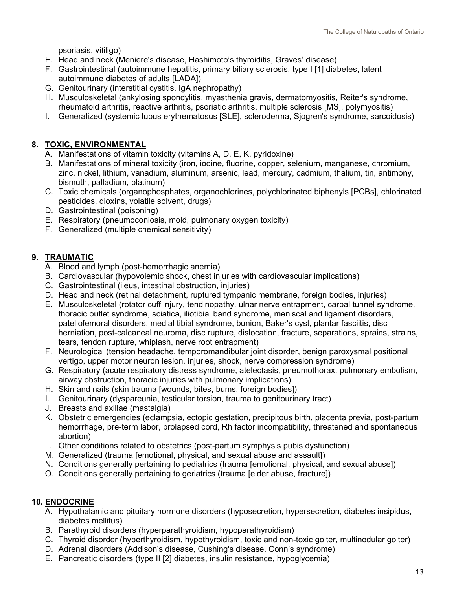psoriasis, vitiligo)

- E. Head and neck (Meniere's disease, Hashimoto's thyroiditis, Graves' disease)
- F. Gastrointestinal (autoimmune hepatitis, primary biliary sclerosis, type I [1] diabetes, latent autoimmune diabetes of adults [LADA])
- G. Genitourinary (interstitial cystitis, IgA nephropathy)
- H. Musculoskeletal (ankylosing spondylitis, myasthenia gravis, dermatomyositis, Reiter's syndrome, rheumatoid arthritis, reactive arthritis, psoriatic arthritis, multiple sclerosis [MS], polymyositis)
- I. Generalized (systemic lupus erythematosus [SLE], scleroderma, Sjogren's syndrome, sarcoidosis)

#### **8. TOXIC, ENVIRONMENTAL**

- A. Manifestations of vitamin toxicity (vitamins A, D, E, K, pyridoxine)
- B. Manifestations of mineral toxicity (iron, iodine, fluorine, copper, selenium, manganese, chromium, zinc, nickel, lithium, vanadium, aluminum, arsenic, lead, mercury, cadmium, thalium, tin, antimony, bismuth, palladium, platinum)
- C. Toxic chemicals (organophosphates, organochlorines, polychlorinated biphenyls [PCBs], chlorinated pesticides, dioxins, volatile solvent, drugs)
- D. Gastrointestinal (poisoning)
- E. Respiratory (pneumoconiosis, mold, pulmonary oxygen toxicity)
- F. Generalized (multiple chemical sensitivity)

#### **9. TRAUMATIC**

- A. Blood and lymph (post-hemorrhagic anemia)
- B. Cardiovascular (hypovolemic shock, chest injuries with cardiovascular implications)
- C. Gastrointestinal (ileus, intestinal obstruction, injuries)
- D. Head and neck (retinal detachment, ruptured tympanic membrane, foreign bodies, injuries)
- E. Musculoskeletal (rotator cuff injury, tendinopathy, ulnar nerve entrapment, carpal tunnel syndrome, thoracic outlet syndrome, sciatica, iliotibial band syndrome, meniscal and ligament disorders, patellofemoral disorders, medial tibial syndrome, bunion, Baker's cyst, plantar fasciitis, disc herniation, post-calcaneal neuroma, disc rupture, dislocation, fracture, separations, sprains, strains, tears, tendon rupture, whiplash, nerve root entrapment)
- F. Neurological (tension headache, temporomandibular joint disorder, benign paroxysmal positional vertigo, upper motor neuron lesion, injuries, shock, nerve compression syndrome)
- G. Respiratory (acute respiratory distress syndrome, atelectasis, pneumothorax, pulmonary embolism, airway obstruction, thoracic injuries with pulmonary implications)
- H. Skin and nails (skin trauma [wounds, bites, bums, foreign bodies])
- I. Genitourinary (dyspareunia, testicular torsion, trauma to genitourinary tract)
- J. Breasts and axillae (mastalgia)
- K. Obstetric emergencies (eclampsia, ectopic gestation, precipitous birth, placenta previa, post-partum hemorrhage, pre-term labor, prolapsed cord, Rh factor incompatibility, threatened and spontaneous abortion)
- L. Other conditions related to obstetrics (post-partum symphysis pubis dysfunction)
- M. Generalized (trauma [emotional, physical, and sexual abuse and assault])
- N. Conditions generally pertaining to pediatrics (trauma [emotional, physical, and sexual abuse])
- O. Conditions generally pertaining to geriatrics (trauma [elder abuse, fracture])

#### **10. ENDOCRINE**

- A. Hypothalamic and pituitary hormone disorders (hyposecretion, hypersecretion, diabetes insipidus, diabetes mellitus)
- B. Parathyroid disorders (hyperparathyroidism, hypoparathyroidism)
- C. Thyroid disorder (hyperthyroidism, hypothyroidism, toxic and non-toxic goiter, multinodular goiter)
- D. Adrenal disorders (Addison's disease, Cushing's disease, Conn's syndrome)
- E. Pancreatic disorders (type II [2] diabetes, insulin resistance, hypoglycemia)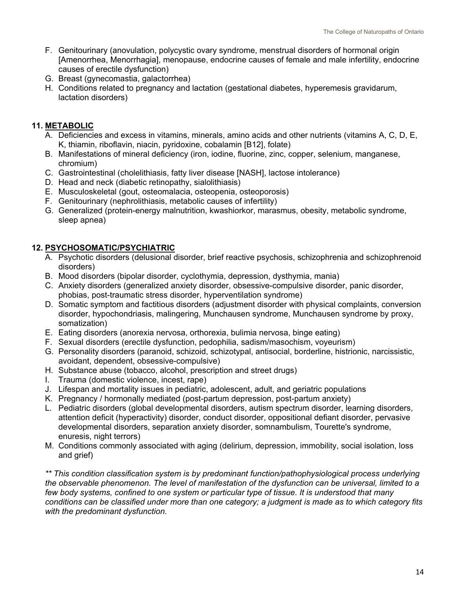- F. Genitourinary (anovulation, polycystic ovary syndrome, menstrual disorders of hormonal origin [Amenorrhea, Menorrhagia], menopause, endocrine causes of female and male infertility, endocrine causes of erectile dysfunction)
- G. Breast (gynecomastia, galactorrhea)
- H. Conditions related to pregnancy and lactation (gestational diabetes, hyperemesis gravidarum, lactation disorders)

#### **11. METABOLIC**

- A. Deficiencies and excess in vitamins, minerals, amino acids and other nutrients (vitamins A, C, D, E, K, thiamin, riboflavin, niacin, pyridoxine, cobalamin [B12], folate)
- B. Manifestations of mineral deficiency (iron, iodine, fluorine, zinc, copper, selenium, manganese, chromium)
- C. Gastrointestinal (cholelithiasis, fatty liver disease [NASH], lactose intolerance)
- D. Head and neck (diabetic retinopathy, sialolithiasis)
- E. Musculoskeletal (gout, osteomalacia, osteopenia, osteoporosis)
- F. Genitourinary (nephrolithiasis, metabolic causes of infertility)
- G. Generalized (protein-energy malnutrition, kwashiorkor, marasmus, obesity, metabolic syndrome, sleep apnea)

#### **12. PSYCHOSOMATIC/PSYCHIATRIC**

- A. Psychotic disorders (delusional disorder, brief reactive psychosis, schizophrenia and schizophrenoid disorders)
- B. Mood disorders (bipolar disorder, cyclothymia, depression, dysthymia, mania)
- C. Anxiety disorders (generalized anxiety disorder, obsessive-compulsive disorder, panic disorder, phobias, post-traumatic stress disorder, hyperventilation syndrome)
- D. Somatic symptom and factitious disorders (adjustment disorder with physical complaints, conversion disorder, hypochondriasis, malingering, Munchausen syndrome, Munchausen syndrome by proxy, somatization)
- E. Eating disorders (anorexia nervosa, orthorexia, bulimia nervosa, binge eating)
- F. Sexual disorders (erectile dysfunction, pedophilia, sadism/masochism, voyeurism)
- G. Personality disorders (paranoid, schizoid, schizotypal, antisocial, borderline, histrionic, narcissistic, avoidant, dependent, obsessive-compulsive)
- H. Substance abuse (tobacco, alcohol, prescription and street drugs)
- I. Trauma (domestic violence, incest, rape)
- J. Lifespan and mortality issues in pediatric, adolescent, adult, and geriatric populations
- K. Pregnancy / hormonally mediated (post-partum depression, post-partum anxiety)
- L. Pediatric disorders (global developmental disorders, autism spectrum disorder, learning disorders, attention deficit (hyperactivity) disorder, conduct disorder, oppositional defiant disorder, pervasive developmental disorders, separation anxiety disorder, somnambulism, Tourette's syndrome, enuresis, night terrors)
- M. Conditions commonly associated with aging (delirium, depression, immobility, social isolation, loss and grief)

<span id="page-14-0"></span>*\*\* This condition classification system is by predominant function/pathophysiological process underlying the observable phenomenon. The level of manifestation of the dysfunction can be universal, limited to a few body systems, confined to one system or particular type of tissue. It is understood that many conditions can be classified under more than one category; a judgment is made as to which category fits with the predominant dysfunction.*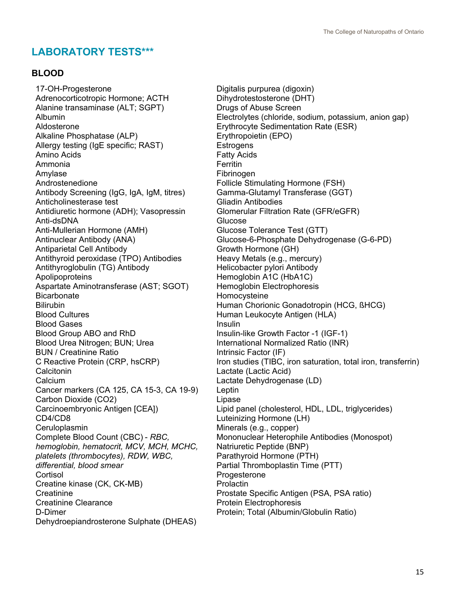## **LABORATORY TESTS\*\*\***

#### **BLOOD**

17-OH-Progesterone Adrenocorticotropic Hormone; ACTH Alanine transaminase (ALT; SGPT) Albumin Aldosterone Alkaline Phosphatase (ALP) Allergy testing (IgE specific; RAST) Amino Acids Ammonia Amylase Androstenedione Antibody Screening (IgG, IgA, IgM, titres) Anticholinesterase test Antidiuretic hormone (ADH); Vasopressin Anti-dsDNA Anti-Mullerian Hormone (AMH) Antinuclear Antibody (ANA) Antiparietal Cell Antibody Antithyroid peroxidase (TPO) Antibodies Antithyroglobulin (TG) Antibody Apolipoproteins Aspartate Aminotransferase (AST; SGOT) **Bicarbonate** Bilirubin Blood Cultures Blood Gases Blood Group ABO and RhD Blood Urea Nitrogen; BUN; Urea BUN / Creatinine Ratio C Reactive Protein (CRP, hsCRP) **Calcitonin Calcium** Cancer markers (CA 125, CA 15-3, CA 19-9) Carbon Dioxide (CO2) Carcinoembryonic Antigen [CEA]) CD4/CD8 **Ceruloplasmin** Complete Blood Count (CBC) - *RBC, hemoglobin, hematocrit, MCV, MCH, MCHC, platelets (thrombocytes), RDW, WBC, differential, blood smear* **Cortisol** Creatine kinase (CK, CK-MB) **Creatinine** Creatinine Clearance D-Dimer Dehydroepiandrosterone Sulphate (DHEAS)

Digitalis purpurea (digoxin) Dihydrotestosterone (DHT) Drugs of Abuse Screen Electrolytes (chloride, sodium, potassium, anion gap) Erythrocyte Sedimentation Rate (ESR) Erythropoietin (EPO) **Estrogens** Fatty Acids **Ferritin** Fibrinogen Follicle Stimulating Hormone (FSH) Gamma-Glutamyl Transferase (GGT) Gliadin Antibodies Glomerular Filtration Rate (GFR/eGFR) Glucose Glucose Tolerance Test (GTT) Glucose-6-Phosphate Dehydrogenase (G-6-PD) Growth Hormone (GH) Heavy Metals (e.g., mercury) Helicobacter pylori Antibody Hemoglobin A1C (HbA1C) Hemoglobin Electrophoresis Homocysteine Human Chorionic Gonadotropin (HCG, ßHCG) Human Leukocyte Antigen (HLA) Insulin Insulin-like Growth Factor -1 (IGF-1) International Normalized Ratio (INR) Intrinsic Factor (IF) Iron studies (TIBC, iron saturation, total iron, transferrin) Lactate (Lactic Acid) Lactate Dehydrogenase (LD) **Leptin** Lipase Lipid panel (cholesterol, HDL, LDL, triglycerides) Luteinizing Hormone (LH) Minerals (e.g., copper) Mononuclear Heterophile Antibodies (Monospot) Natriuretic Peptide (BNP) Parathyroid Hormone (PTH) Partial Thromboplastin Time (PTT) Progesterone Prolactin Prostate Specific Antigen (PSA, PSA ratio) Protein Electrophoresis Protein; Total (Albumin/Globulin Ratio)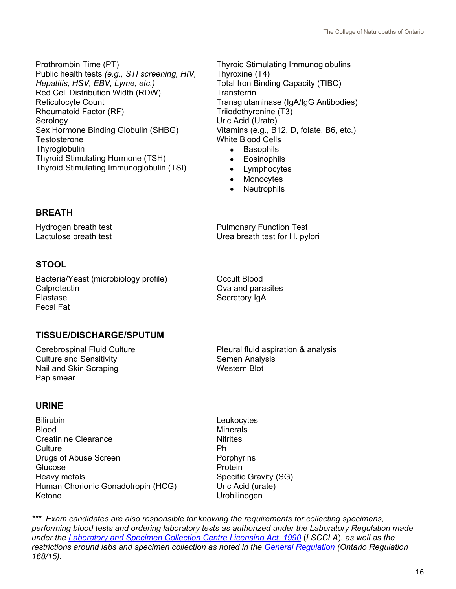Prothrombin Time (PT) Public health tests *(e.g., STI screening, HIV, Hepatitis, HSV, EBV, Lyme, etc.)* Red Cell Distribution Width (RDW) Reticulocyte Count Rheumatoid Factor (RF) Serology Sex Hormone Binding Globulin (SHBG) **Testosterone Thyroglobulin** Thyroid Stimulating Hormone (TSH) Thyroid Stimulating Immunoglobulin (TSI)

Thyroid Stimulating Immunoglobulins Thyroxine (T4) Total Iron Binding Capacity (TIBC) **Transferrin** Transglutaminase (IgA/IgG Antibodies) Triiodothyronine (T3) Uric Acid (Urate) Vitamins (e.g., B12, D, folate, B6, etc.) White Blood Cells

- Basophils
- Eosinophils
- Lymphocytes
- Monocytes
- **Neutrophils**

#### **BREATH**

Hydrogen breath test Lactulose breath test

**STOOL**

Bacteria/Yeast (microbiology profile) **Calprotectin** Elastase Fecal Fat

Pulmonary Function Test Urea breath test for H. pylori

Occult Blood Ova and parasites Secretory IgA

#### **TISSUE/DISCHARGE/SPUTUM**

Cerebrospinal Fluid Culture Culture and Sensitivity Nail and Skin Scraping Pap smear

Pleural fluid aspiration & analysis Semen Analysis Western Blot

#### **URINE**

Bilirubin Blood Creatinine Clearance **Culture** Drugs of Abuse Screen Glucose Heavy metals Human Chorionic Gonadotropin (HCG) Ketone Urobilinogen

**Leukocytes Minerals Nitrites** Ph **Porphyrins Protein** Specific Gravity (SG) Uric Acid (urate)

*\*\*\* Exam candidates are also responsible for knowing the requirements for collecting specimens, performing blood tests and ordering laboratory tests as authorized under the Laboratory Regulation made under the [Laboratory and Specimen Collection Centre Licensing Act, 1990](https://www.ontario.ca/laws/statute/90l01)* (*LSCCLA*), *as well as the restrictions around labs and specimen collection as noted in the [General Regulation](https://www.ontario.ca/laws/regulation/150168) (Ontario Regulation 168/15).*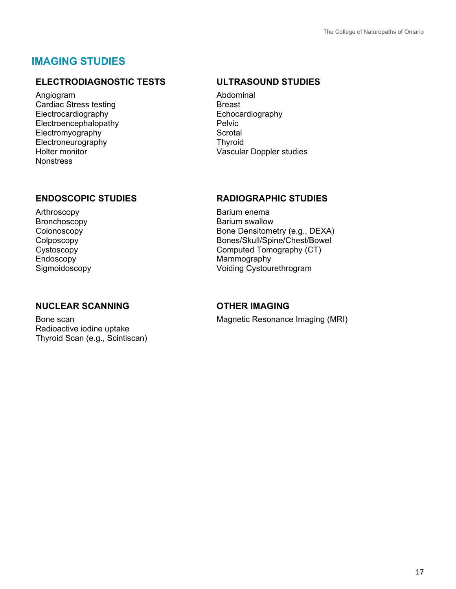## <span id="page-17-0"></span>**IMAGING STUDIES**

### **ELECTRODIAGNOSTIC TESTS ULTRASOUND STUDIES**

Angiogram Cardiac Stress testing Electrocardiography Electroencephalopathy Electromyography Electroneurography Holter monitor **Nonstress** 

Arthroscopy Bronchoscopy Colonoscopy Colposcopy Cystoscopy Endoscopy Sigmoidoscopy

### **NUCLEAR SCANNING OTHER IMAGING**

Bone scan Radioactive iodine uptake Thyroid Scan (e.g., Scintiscan)

Abdominal Breast Echocardiography Pelvic **Scrotal Thyroid** Vascular Doppler studies

#### **ENDOSCOPIC STUDIES RADIOGRAPHIC STUDIES**

Barium enema Barium swallow Bone Densitometry (e.g., DEXA) Bones/Skull/Spine/Chest/Bowel Computed Tomography (CT) Mammography Voiding Cystourethrogram

Magnetic Resonance Imaging (MRI)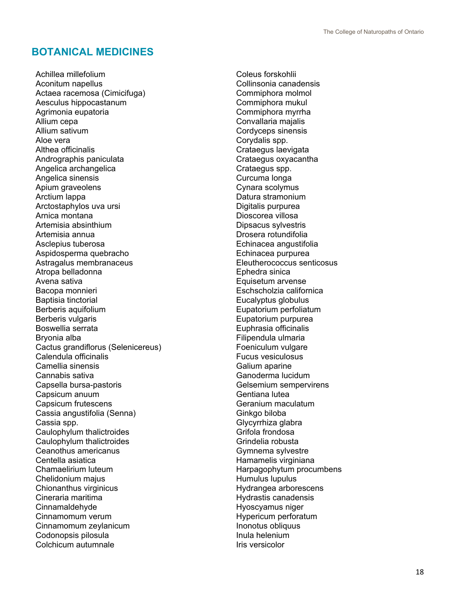## <span id="page-18-0"></span>**BOTANICAL MEDICINES**

Achillea millefolium Aconitum napellus Actaea racemosa (Cimicifuga) Aesculus hippocastanum Agrimonia eupatoria Allium cepa Allium sativum Aloe vera Althea officinalis Andrographis paniculata Angelica archangelica Angelica sinensis Apium graveolens Arctium lappa Arctostaphylos uva ursi Arnica montana Artemisia absinthium Artemisia annua Asclepius tuberosa Aspidosperma quebracho Astragalus membranaceus Atropa belladonna Avena sativa Bacopa monnieri Baptisia tinctorial Berberis aquifolium Berberis vulgaris Boswellia serrata Bryonia alba Cactus grandiflorus (Selenicereus) Calendula officinalis Camellia sinensis Cannabis sativa Capsella bursa-pastoris Capsicum anuum Capsicum frutescens Cassia angustifolia (Senna) Cassia spp. Caulophylum thalictroides Caulophylum thalictroides Ceanothus americanus Centella asiatica Chamaelirium luteum Chelidonium majus Chionanthus virginicus Cineraria maritima Cinnamaldehyde Cinnamomum verum Cinnamomum zeylanicum Codonopsis pilosula Colchicum autumnale

Coleus forskohlii Collinsonia canadensis Commiphora molmol Commiphora mukul Commiphora myrrha Convallaria majalis Cordyceps sinensis Corydalis spp. Crataegus laevigata Crataegus oxyacantha Crataegus spp. Curcuma longa Cynara scolymus Datura stramonium Digitalis purpurea Dioscorea villosa Dipsacus sylvestris Drosera rotundifolia Echinacea angustifolia Echinacea purpurea Eleutherococcus senticosus Ephedra sinica Equisetum arvense Eschscholzia californica Eucalyptus globulus Eupatorium perfoliatum Eupatorium purpurea Euphrasia officinalis Filipendula ulmaria Foeniculum vulgare Fucus vesiculosus Galium aparine Ganoderma lucidum Gelsemium sempervirens Gentiana lutea Geranium maculatum Ginkgo biloba Glycyrrhiza glabra Grifola frondosa Grindelia robusta Gymnema sylvestre Hamamelis virginiana Harpagophytum procumbens Humulus lupulus Hydrangea arborescens Hydrastis canadensis Hyoscyamus niger Hypericum perforatum Inonotus obliquus Inula helenium Iris versicolor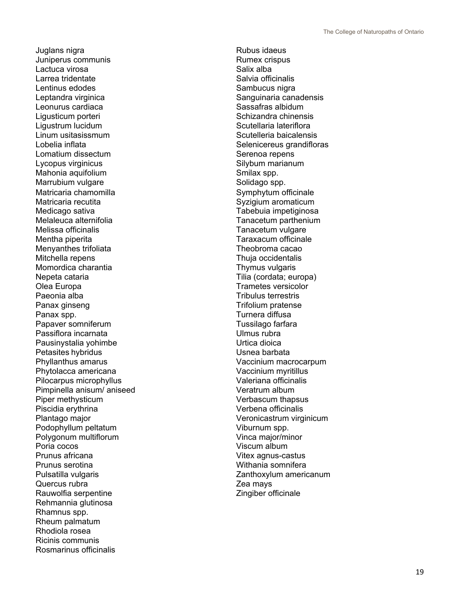Juglans nigra Juniperus communis Lactuca virosa Larrea tridentate Lentinus edodes Leptandra virginica Leonurus cardiac a Ligusticum porteri Ligustrum lucidum Linum usitasissmum Lobelia inflata Lomatium dissectum Lycopus virginicus Mahonia aquifolium Marrubium vulgare Matricaria chamomilla Matricaria recutita Medicago sativa Melaleuca alternifolia Melissa officinalis Mentha piperita Menyanthes trifoliata Mitchella repens Momordica charantia Nepeta cataria Olea Europa Paeonia alba Panax ginseng Panax spp. Papaver somniferum Passiflora incarnata Pausinystalia yohimbe Petasi tes hybridus Phyllanthus amarus Phytolacca americana Pilocarpus microphyllus Pimpinella anisum/ aniseed Piper methysticum Piscidia erythrina Plantago major Podophyllum peltatum Polygonum multiflorum Poria cocos Prunus africana Prunus serotina Pulsatilla vulgaris Quercus rubra Rauwolfia serpentine Rehmannia glutinosa Rhamnus spp . Rheum palmatum Rhodiola rosea Ricinis communis Rosmarinus officinalis

Rubus idaeus Rumex crispus Salix alba Salvia officinalis Sambucus nigra Sanguinaria canadensis Sassafras albidum Schizandra chinensis Scutellaria lateriflora Scutelleria baicalensis Selenicereus grandifloras Serenoa repens Silybum marianum Smilax spp. Solidago spp. Symphytum officinale Syzigium aromaticum Tabebuia impetiginosa Tanacetum parthenium Tanacetum vulgare Taraxacum officinale Theobroma cacao Thuja occidentalis Thymus vulgaris Tilia (cordata; europa) Trametes versicolor Tribulus terrestris Trifolium pratense Turnera diffusa Tussilago farfara Ulmus rubra Urtica dioica Usnea barbata Vaccinium macrocarpum Vaccinium myritillus Valeriana officinalis Veratrum album Verbascum thapsus Verbena officinalis Veronicastrum virginicum Viburnum spp. Vinca major/minor Viscum album Vitex agnus -castus Withania somnifera Zanthoxylum americanum Zea mays Zingiber officinale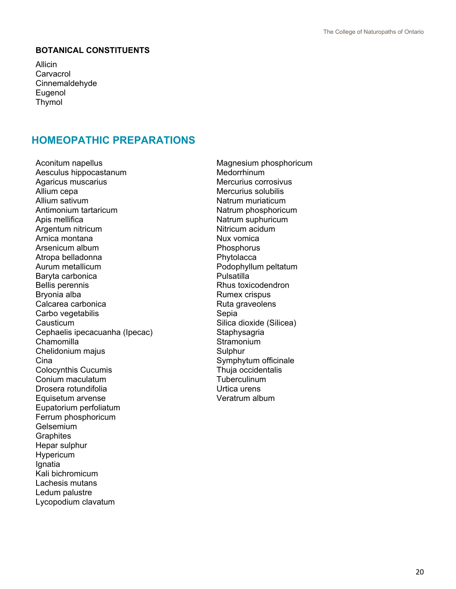#### **BOTANICAL CONSTITUENTS**

Allicin **Carvacrol** Cinnemaldehyde Eugenol Thymol

## <span id="page-20-0"></span>**HOMEOPATHIC PREPARATIONS**

Aconitum napellus Aesculus hippocastanum Agaricus muscarius Allium cepa Allium sativum Antimonium tartaricum Apis mellifica Argentum nitricum Arnica montana Arsenicum album Atropa belladonna Aurum metallicum Baryta carbonica Bellis perennis Bryonia alba Calcarea carbonica Carbo vegetabilis **Causticum** Cephaelis ipecacuanha (Ipecac) Chamomilla Chelidonium majus **Cina** Colocynthis Cucumis Conium maculatum Drosera rotundifolia Equisetum arvense Eupatorium perfoliatum Ferrum phosphoricum Gelsemium **Graphites** Hepar sulphur Hypericum **I**gnatia Kali bichromicum Lachesis mutans Ledum palustre Lycopodium clavatum

Magnesium phosphoricum **Medorrhinum** Mercurius corrosivus Mercurius solubilis Natrum muriaticum Natrum phosphoricum Natrum suphuricum Nitricum acidum Nux vomica **Phosphorus Phytolacca** Podophyllum peltatum Pulsatilla Rhus toxicodendron Rumex crispus Ruta graveolens Sepia Silica dioxide (Silicea) **Staphysagria Stramonium Sulphur** Symphytum officinale Thuja occidentalis **Tuberculinum** Urtica urens Veratrum album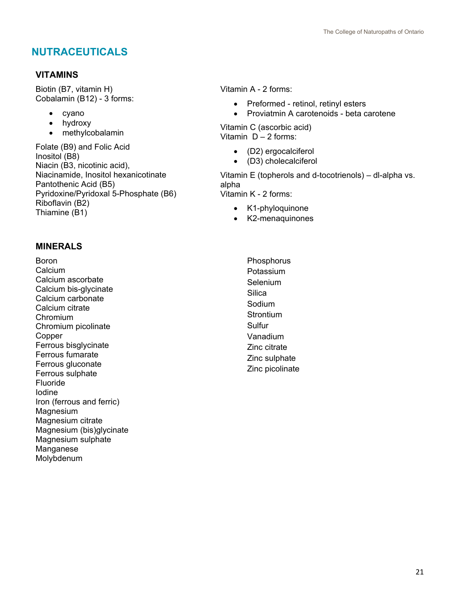## <span id="page-21-0"></span>**NUTRACEUTICALS**

## **VITAMINS**

Biotin (B7, vitamin H) Cobalamin (B12) - 3 forms:

- cyano
- hydroxy
- methylcobalamin

Folate (B9) and Folic Acid Inositol (B8) Niacin (B3, nicotinic acid), Niacinamide, Inositol hexanicotinate Pantothenic Acid (B5) Pyridoxine/Pyridoxal 5-Phosphate (B6) Riboflavin (B2) Thiamine (B1)

## **MINERALS**

Boron Calcium Calcium ascorbate Calcium bis-glycinate Calcium carbonate Calcium citrate Chromium Chromium picolinate Copper Ferrous bisglycinate Ferrous fumarate Ferrous gluconate Ferrous sulphate Fluoride Iodine Iron (ferrous and ferric) Magnesium Magnesium citrate Magnesium (bis)glycinate Magnesium sulphate Manganese Molybdenum

Vitamin A - 2 forms:

- Preformed retinol, retinyl esters
- Proviatmin A carotenoids beta carotene

Vitamin C (ascorbic acid) Vitamin  $D - 2$  forms:

- (D2) ergocalciferol
- (D3) cholecalciferol

Vitamin E (topherols and d-tocotrienols) – dl-alpha vs. alpha Vitamin K - 2 forms:

- K1-phyloquinone
- K2-menaquinones

Phosphorus Potassium Selenium Silica Sodium **Strontium** Sulfur Vanadium Zinc citrate Zinc sulphate Zinc picolinate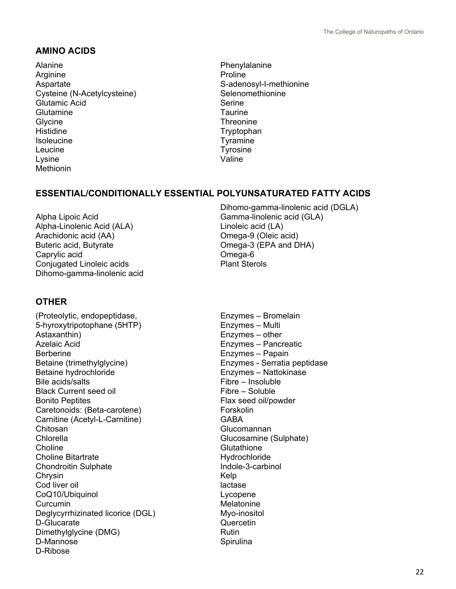### **AMINO ACIDS**

Alanine **Arginine** Aspartate Cysteine (N-Acetylcysteine) Glutamic Acid **Glutamine Glycine** Histidine Isoleucine Leucine Lysine Methionin

Phenylalanine Proline S-adenosyl-I-methionine Selenomethionine Serine **Taurine Threonine** Tryptophan Tyramine Tyrosine Valine

## **ESSENTIAL/CONDITIONALLY ESSENTIAL POLYUNSATURATED FATTY ACIDS**

Alpha Lipoic Acid Alpha-Linolenic Acid (ALA) Arachidonic acid (AA) Buteric acid, Butyrate Caprylic acid Conjugated Linoleic acids Dihomo-gamma-linolenic acid Dihomo-gamma-linolenic acid (DGLA) Gamma-linolenic acid (GLA) Linoleic acid (LA) Omega-9 (Oleic acid) Omega-3 (EPA and DHA) Omega-6 Plant Sterols

#### **OTHER**

(Proteolytic, endopeptidase, 5-hyroxytripotophane (5HTP) Astaxanthin) Azelaic Acid Berberine Betaine (trimethylglycine) Betaine hydrochloride Bile acids/salts Black Current seed oil Bonito Peptites Caretonoids: (Beta-carotene) Carnitine (Acetyl-L-Carnitine) Chitosan Chlorella **Choline** Choline Bitartrate Chondroitin Sulphate **Chrysin** Cod liver oil CoQ10/Ubiquinol **Curcumin** Deglycyrrhizinated licorice (DGL) D-Glucarate Dimethylglycine (DMG) D-Mannose D-Ribose

Enzymes – Bromelain Enzymes – Multi Enzymes – other Enzymes – Pancreatic Enzymes – Papain Enzymes - Serratia peptidase Enzymes – Nattokinase Fibre – Insoluble Fibre – Soluble Flax seed oil/powder **Forskolin GARA Glucomannan** Glucosamine (Sulphate) **Glutathione Hydrochloride** Indole-3-carbinol Kelp lactase Lycopene Melatonine Myo-inositol **Quercetin** Rutin **Spirulina**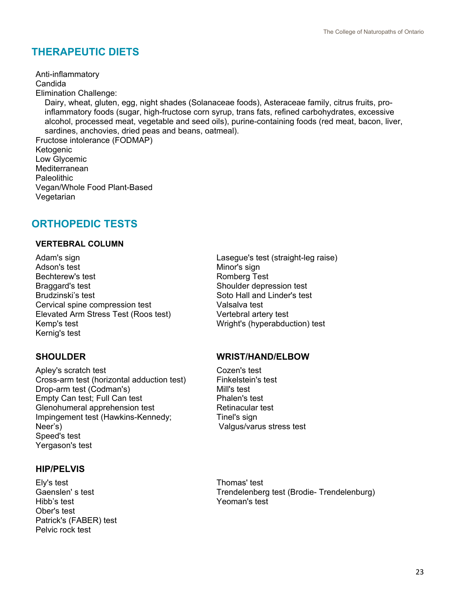## <span id="page-23-0"></span>**THERAPEUTIC DIETS**

Anti-inflammatory Candida Elimination Challenge: Dairy, wheat, gluten, egg, night shades (Solanaceae foods), Asteraceae family, citrus fruits, pro inflammatory foods (sugar, high-fructose corn syrup, trans fats, refined carbohydrates, excessive alcohol, processed meat, vegetable and seed oils), purine-containing foods (red meat, bacon, liver, sardines, anchovies, dried peas and beans, oatmeal). Fructose intolerance (FODMAP) Ketogenic Low Glycemic **Mediterranean** Paleolithic Vegan/Whole Food Plant-Based

Vegetarian

## <span id="page-23-1"></span>**ORTHOPEDIC TESTS**

#### **VERTEBRAL COLUMN**

Adam's sign Adson's test Bechterew's test Braggard's test Brudzinski's test Cervical spine compression test Elevated Arm Stress Test (Roos test) Kemp's test Kernig's test

Apley's scratch test Cross-arm test (horizontal adduction test) Drop-arm test (Codman's) Empty Can test; Full Can test Glenohumeral apprehension test Impingement test (Hawkins-Kennedy; Neer's) Speed's test Yergason's test

#### **HIP/PELVIS**

Ely's test Gaenslen' s test Hibb's test Ober's test Patrick's (FABER) test Pelvic rock test

Lasegue's test (straight-leg raise) Minor's sign Romberg Test Shoulder depression test Soto Hall and Linder's test Valsalva test Vertebral artery test Wright's (hyperabduction) test

#### **SHOULDER WRIST/HAND/ELBOW**

Cozen's test Finkelstein's test Mill's test Phalen's test Retinacular test Tinel's sign Valgus/varus stress test

Thomas' test Trendelenberg test (Brodie- Trendelenburg) Yeoman's test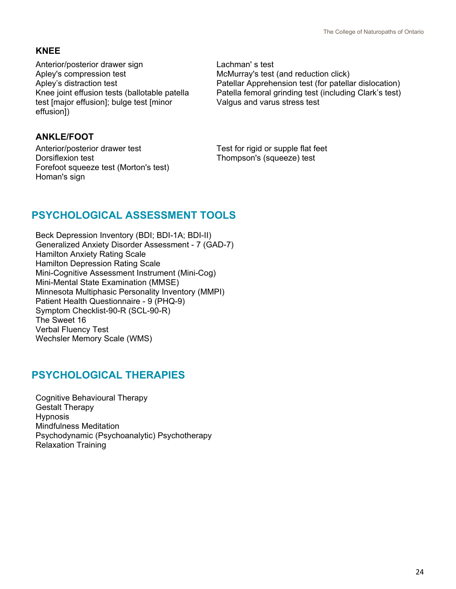## **KNEE**

Anterior/posterior drawer sign Apley's compression test Apley's distraction test Knee joint effusion tests (ballotable patella test [major effusion]; bulge test [minor effusion])

## **ANKLE/FOOT**

Anterior/posterior drawer test Dorsiflexion test Forefoot squeeze test (Morton's test) Homan's sign

Lachman' s test McMurray's test (and reduction click) Patellar Apprehension test (for patellar dislocation) Patella femoral grinding test (including Clark's test) Valgus and varus stress test

Test for rigid or supple flat feet Thompson's (squeeze) test

## <span id="page-24-0"></span>**PSYCHOLOGICAL ASSESSMENT TOOLS**

Beck Depression Inventory (BDI; BDI-1A; BDI-II) Generalized Anxiety Disorder Assessment - 7 (GAD-7) Hamilton Anxiety Rating Scale Hamilton Depression Rating Scale Mini-Cognitive Assessment Instrument (Mini-Cog) Mini-Mental State Examination (MMSE) Minnesota Multiphasic Personality Inventory (MMPI) Patient Health Questionnaire - 9 (PHQ-9) Symptom Checklist-90-R (SCL-90-R) The Sweet 16 Verbal Fluency Test Wechsler Memory Scale (WMS)

## <span id="page-24-1"></span>**PSYCHOLOGICAL THERAPIES**

<span id="page-24-2"></span>Cognitive Behavioural Therapy Gestalt Therapy Hypnosis Mindfulness Meditation Psychodynamic (Psychoanalytic) Psychotherapy Relaxation Training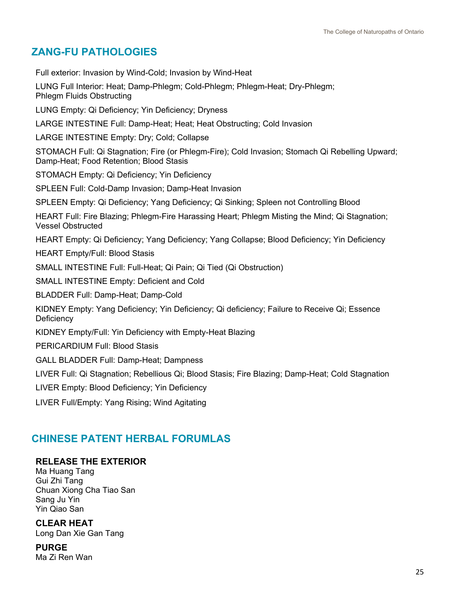## **ZANG-FU PATHOLOGIES**

Full exterior: Invasion by Wind-Cold; Invasion by Wind-Heat

LUNG Full Interior: Heat; Damp-Phlegm; Cold-Phlegm; Phlegm-Heat; Dry-Phlegm; Phlegm Fluids Obstructing

LUNG Empty: Qi Deficiency; Yin Deficiency; Dryness

LARGE INTESTINE Full: Damp-Heat; Heat; Heat Obstructing; Cold Invasion

LARGE INTESTINE Empty: Dry; Cold; Collapse

STOMACH Full: Qi Stagnation; Fire (or Phlegm-Fire); Cold Invasion; Stomach Qi Rebelling Upward; Damp-Heat; Food Retention; Blood Stasis

STOMACH Empty: Qi Deficiency; Yin Deficiency

SPLEEN Full: Cold-Damp Invasion; Damp-Heat Invasion

SPLEEN Empty: Qi Deficiency; Yang Deficiency; Qi Sinking; Spleen not Controlling Blood

HEART Full: Fire Blazing; Phlegm-Fire Harassing Heart; Phlegm Misting the Mind; Qi Stagnation; Vessel Obstructed

HEART Empty: Qi Deficiency; Yang Deficiency; Yang Collapse; Blood Deficiency; Yin Deficiency

HEART Empty/Full: Blood Stasis

SMALL INTESTINE Full: Full-Heat; Qi Pain; Qi Tied (Qi Obstruction)

SMALL INTESTINE Empty: Deficient and Cold

BLADDER Full: Damp-Heat; Damp-Cold

KIDNEY Empty: Yang Deficiency; Yin Deficiency; Qi deficiency; Failure to Receive Qi; Essence **Deficiency** 

KIDNEY Empty/Full: Yin Deficiency with Empty-Heat Blazing

PERICARDIUM Full: Blood Stasis

GALL BLADDER Full: Damp-Heat; Dampness

LIVER Full: Qi Stagnation; Rebellious Qi; Blood Stasis; Fire Blazing; Damp-Heat; Cold Stagnation

LIVER Empty: Blood Deficiency; Yin Deficiency

LIVER Full/Empty: Yang Rising; Wind Agitating

## <span id="page-25-0"></span>**CHINESE PATENT HERBAL FORUMLAS**

#### **RELEASE THE EXTERIOR**

Ma Huang Tang Gui Zhi Tang Chuan Xiong Cha Tiao San Sang Ju Yin Yin Qiao San

**CLEAR HEAT**

Long Dan Xie Gan Tang

**PURGE**  Ma Zi Ren Wan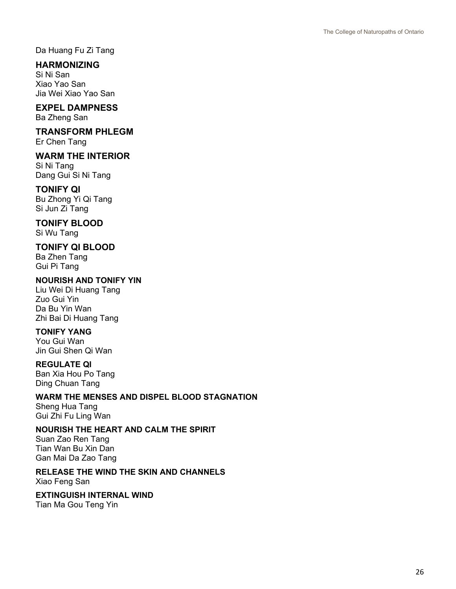Da Huang Fu Zi Tang

#### **HARMONIZING**

Si Ni San Xiao Yao San Jia Wei Xiao Yao San

## **EXPEL DAMPNESS**

Ba Zheng San

## **TRANSFORM PHLEGM**

Er Chen Tang

#### **WARM THE INTERIOR**

Si Ni Tang Dang Gui Si Ni Tang

#### **TONIFY QI**

Bu Zhong Yi Qi Tang Si Jun Zi Tang

## **TONIFY BLOOD**

Si Wu Tang

#### **TONIFY QI BLOOD**

Ba Zhen Tang Gui Pi Tang

#### **NOURISH AND TONIFY YIN**

Liu Wei Di Huang Tang Zuo Gui Yin Da Bu Yin Wan Zhi Bai Di Huang Tang

#### **TONIFY YANG**

You Gui Wan Jin Gui Shen Qi Wan

#### **REGULATE QI**

Ban Xia Hou Po Tang Ding Chuan Tang

#### **WARM THE MENSES AND DISPEL BLOOD STAGNATION**

Sheng Hua Tang Gui Zhi Fu Ling Wan

#### **NOURISH THE HEART AND CALM THE SPIRIT**

Suan Zao Ren Tang Tian Wan Bu Xin Dan Gan Mai Da Zao Tang

#### **RELEASE THE WIND THE SKIN AND CHANNELS**

Xiao Feng San

#### **EXTINGUISH INTERNAL WIND**

Tian Ma Gou Teng Yin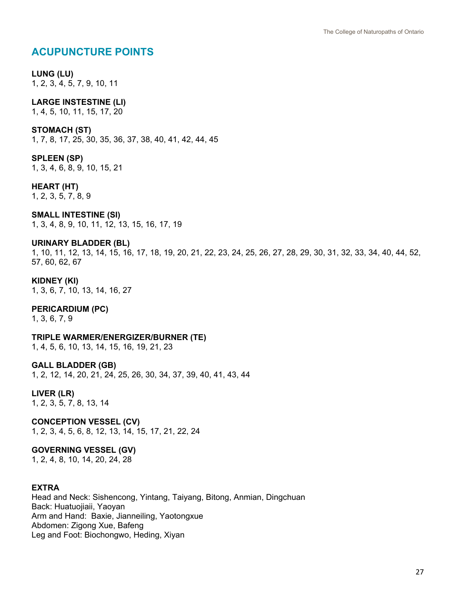## <span id="page-27-0"></span>**ACUPUNCTURE POINTS**

#### **LUNG (LU)**

1, 2, 3, 4, 5, 7, 9, 10, 11

#### **LARGE INSTESTINE (LI)**

1, 4, 5, 10, 11, 15, 17, 20

#### **STOMACH (ST)**

1, 7, 8, 17, 25, 30, 35, 36, 37, 38, 40, 41, 42, 44, 45

#### **SPLEEN (SP)**

1, 3, 4, 6, 8, 9, 10, 15, 21

#### **HEART (HT)**

1, 2, 3, 5, 7, 8, 9

#### **SMALL INTESTINE (SI)**

1, 3, 4, 8, 9, 10, 11, 12, 13, 15, 16, 17, 19

#### **URINARY BLADDER (BL)**

1, 10, 11, 12, 13, 14, 15, 16, 17, 18, 19, 20, 21, 22, 23, 24, 25, 26, 27, 28, 29, 30, 31, 32, 33, 34, 40, 44, 52, 57, 60, 62, 67

#### **KIDNEY (KI)**

1, 3, 6, 7, 10, 13, 14, 16, 27

#### **PERICARDIUM (PC)**

1, 3, 6, 7, 9

#### **TRIPLE WARMER/ENERGIZER/BURNER (TE)**

1, 4, 5, 6, 10, 13, 14, 15, 16, 19, 21, 23

#### **GALL BLADDER (GB)**

1, 2, 12, 14, 20, 21, 24, 25, 26, 30, 34, 37, 39, 40, 41, 43, 44

#### **LIVER (LR)**

1, 2, 3, 5, 7, 8, 13, 14

#### **CONCEPTION VESSEL (CV)**

1, 2, 3, 4, 5, 6, 8, 12, 13, 14, 15, 17, 21, 22, 24

#### **GOVERNING VESSEL (GV)**

1, 2, 4, 8, 10, 14, 20, 24, 28

#### **EXTRA**

Head and Neck: Sishencong, Yintang, Taiyang, Bitong, Anmian, Dingchuan Back: Huatuojiaii, Yaoyan Arm and Hand: Baxie, Jianneiling, Yaotongxue Abdomen: Zigong Xue, Bafeng Leg and Foot: Biochongwo, Heding, Xiyan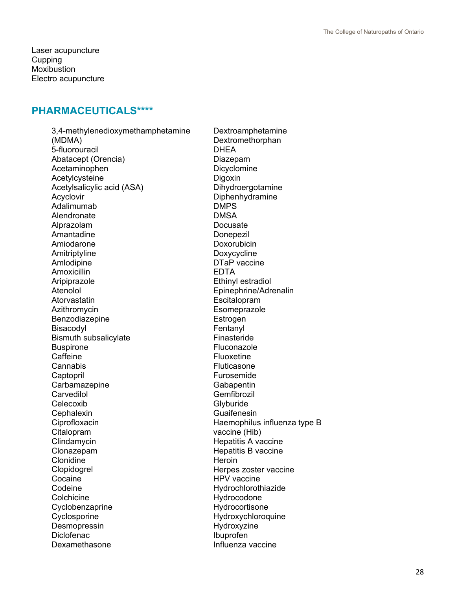Laser acupuncture **Cupping Moxibustion** Electro acupuncture

#### <span id="page-28-0"></span>**PHARMACEUTICALS\*\*\*\***

3,4-methylenedioxymethamphetamine (MDMA) 5-fluorouracil Abatacept (Orencia) Acetaminophen Acetylcysteine Acetylsalicylic acid (ASA) Acyclovir Adalimumab **Alendronate** Alprazolam Amantadine Amiodarone Amitriptyline Amlodipine Amoxicillin Aripiprazole Atenolol Atorvastatin Azithromycin Benzodiazepine Bisacodyl Bismuth subsalicylate Buspirone **Caffeine** Cannabis **Captopril Carbamazepine Carvedilol Celecoxib Cephalexin Ciprofloxacin** Citalopram **Clindamycin** Clonazepam Clonidine Clopidogrel Cocaine Codeine **Colchicine** Cyclobenzaprine **Cyclosporine Desmopressin Diclofenac** Dexamethasone

Dextroamphetamine Dextromethorphan DHEA Diazepam Dicyclomine Digoxin Dihydroergotamine Diphenhydramine DMPS DMSA Docusate **Donepezil** Doxorubicin Doxycycline DTaP vaccine EDTA Ethinyl estradiol Epinephrine/Adrenalin **Escitalopram Esomeprazole** Estrogen Fentanyl Finasteride Fluconazole Fluoxetine Fluticasone Furosemide **Gabapentin** Gemfibrozil **Glyburide Guaifenesin** Haemophilus influenza type B vaccine (Hib) Hepatitis A vaccine Hepatitis B vaccine **Heroin** Herpes zoster vaccine HPV vaccine Hydrochlorothiazide Hydrocodone Hydrocortisone Hydroxychloroquine Hydroxyzine Ibuprofen Influenza vaccine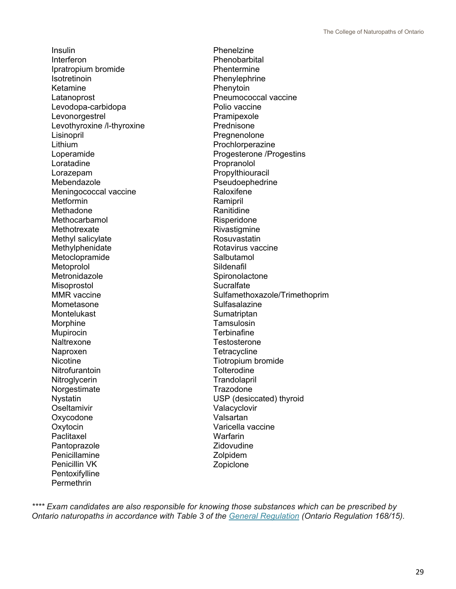Insulin Interferon Ipratropium bromide **Isotretinoin** Ketamine Latanoprost Levodopa-carbidopa Levonorgestrel Levothyroxine /l-thyroxine Lisinopril Lithium Loperamide Loratadine Lorazepam Mebendazole Meningococcal vaccine Metformin Methadone Methocarbamol **Methotrexate** Methyl salicylate Methylphenidate Metoclopramide **Metoprolol Metronidazole** Misoprostol MMR vaccine Mometasone Montelukast Morphine Mupirocin **Naltrexone** Naproxen **Nicotine Nitrofurantoin Nitroglycerin** Norgestimate Nystatin **Oseltamivir** Oxycodone **Oxytocin Paclitaxel Pantoprazole** Penicillamine Penicillin VK **Pentoxifylline** Permethrin

Phenelzine Phenobarbital **Phentermine** Phenylephrine **Phenytoin** Pneumococcal vaccine Polio vaccine Pramipexole Prednisone Pregnenolone Prochlorperazine Progesterone /Progestins Propranolol Propylthiouracil Pseudoephedrine **Raloxifene** Ramipril Ranitidine Risperidone **Rivastigmine** Rosuvastatin Rotavirus vaccine Salbutamol Sildenafil **Spironolactone Sucralfate** Sulfamethoxazole/Trimethoprim **Sulfasalazine Sumatriptan Tamsulosin Terbinafine Testosterone Tetracycline** Tiotropium bromide **Tolterodine Trandolapril Trazodone** USP (desiccated) thyroid Valacyclovir Valsartan Varicella vaccine Warfarin **Zidovudine** Zolpidem Zopiclone

*\*\*\*\* Exam candidates are also responsible for knowing those substances which can be prescribed by Ontario naturopaths in accordance with Table 3 of the [General Regulation](https://www.ontario.ca/laws/regulation/150168) (Ontario Regulation 168/15).*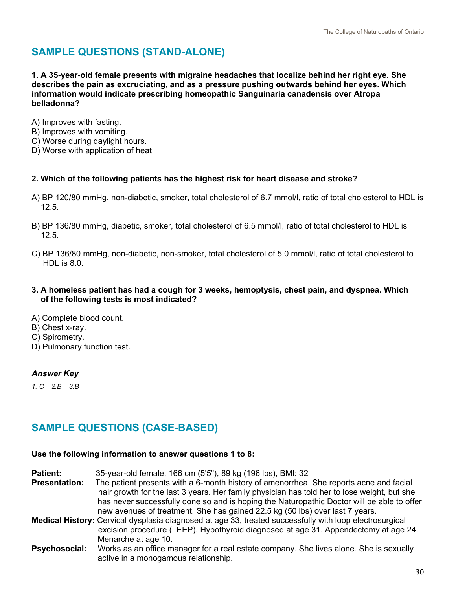## <span id="page-30-0"></span>**SAMPLE QUESTIONS (STAND-ALONE)**

**1. A 35-year-old female presents with migraine headaches that localize behind her right eye. She describes the pain as excruciating, and as a pressure pushing outwards behind her eyes. Which information would indicate prescribing homeopathic Sanguinaria canadensis over Atropa belladonna?**

- A) Improves with fasting.
- B) Improves with vomiting.
- C) Worse during daylight hours.
- D) Worse with application of heat
- **2. Which of the following patients has the highest risk for heart disease and stroke?**
- A) BP 120/80 mmHg, non-diabetic, smoker, total cholesterol of 6.7 mmol/l, ratio of total cholesterol to HDL is 12.5.
- B) BP 136/80 mmHg, diabetic, smoker, total cholesterol of 6.5 mmol/l, ratio of total cholesterol to HDL is 12.5.
- C) BP 136/80 mmHg, non-diabetic, non-smoker, total cholesterol of 5.0 mmol/l, ratio of total cholesterol to HDL is 8.0.
- **3. A homeless patient has had a cough for 3 weeks, hemoptysis, chest pain, and dyspnea. Which of the following tests is most indicated?**
- A) Complete blood count.
- B) Chest x-ray.
- C) Spirometry.
- D) Pulmonary function test.

#### *Answer Key*

*1. C 2.B 3.B*

## **SAMPLE QUESTIONS (CASE-BASED)**

#### **Use the following information to answer questions 1 to 8:**

| <b>Patient:</b>      | 35-year-old female, 166 cm (5'5"), 89 kg (196 lbs), BMI: 32                                             |
|----------------------|---------------------------------------------------------------------------------------------------------|
| <b>Presentation:</b> | The patient presents with a 6-month history of amenorrhea. She reports acne and facial                  |
|                      | hair growth for the last 3 years. Her family physician has told her to lose weight, but she             |
|                      | has never successfully done so and is hoping the Naturopathic Doctor will be able to offer              |
|                      | new avenues of treatment. She has gained 22.5 kg (50 lbs) over last 7 years.                            |
|                      | Medical History: Cervical dysplasia diagnosed at age 33, treated successfully with loop electrosurgical |
|                      | excision procedure (LEEP). Hypothyroid diagnosed at age 31. Appendectomy at age 24.                     |
|                      | Menarche at age 10.                                                                                     |
| <b>Psychosocial:</b> | Works as an office manager for a real estate company. She lives alone. She is sexually                  |
|                      | active in a monogamous relationship.                                                                    |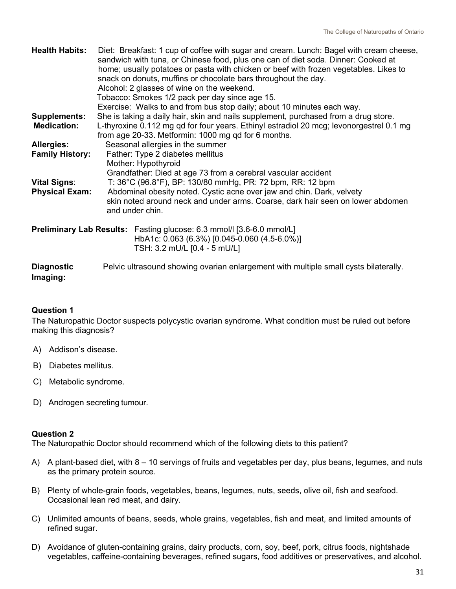| <b>Health Habits:</b>         | Diet: Breakfast: 1 cup of coffee with sugar and cream. Lunch: Bagel with cream cheese,<br>sandwich with tuna, or Chinese food, plus one can of diet soda. Dinner: Cooked at<br>home; usually potatoes or pasta with chicken or beef with frozen vegetables. Likes to<br>snack on donuts, muffins or chocolate bars throughout the day.<br>Alcohol: 2 glasses of wine on the weekend.<br>Tobacco: Smokes 1/2 pack per day since age 15.<br>Exercise: Walks to and from bus stop daily; about 10 minutes each way. |
|-------------------------------|------------------------------------------------------------------------------------------------------------------------------------------------------------------------------------------------------------------------------------------------------------------------------------------------------------------------------------------------------------------------------------------------------------------------------------------------------------------------------------------------------------------|
| <b>Supplements:</b>           | She is taking a daily hair, skin and nails supplement, purchased from a drug store.                                                                                                                                                                                                                                                                                                                                                                                                                              |
| <b>Medication:</b>            | L-thyroxine 0.112 mg qd for four years. Ethinyl estradiol 20 mcg; levonorgestrel 0.1 mg<br>from age 20-33. Metformin: 1000 mg qd for 6 months.                                                                                                                                                                                                                                                                                                                                                                   |
| <b>Allergies:</b>             | Seasonal allergies in the summer                                                                                                                                                                                                                                                                                                                                                                                                                                                                                 |
| <b>Family History:</b>        | Father: Type 2 diabetes mellitus                                                                                                                                                                                                                                                                                                                                                                                                                                                                                 |
|                               | Mother: Hypothyroid                                                                                                                                                                                                                                                                                                                                                                                                                                                                                              |
|                               | Grandfather: Died at age 73 from a cerebral vascular accident                                                                                                                                                                                                                                                                                                                                                                                                                                                    |
| <b>Vital Signs:</b>           | T: 36°C (96.8°F), BP: 130/80 mmHg, PR: 72 bpm, RR: 12 bpm                                                                                                                                                                                                                                                                                                                                                                                                                                                        |
| <b>Physical Exam:</b>         | Abdominal obesity noted. Cystic acne over jaw and chin. Dark, velvety                                                                                                                                                                                                                                                                                                                                                                                                                                            |
|                               | skin noted around neck and under arms. Coarse, dark hair seen on lower abdomen<br>and under chin.                                                                                                                                                                                                                                                                                                                                                                                                                |
|                               |                                                                                                                                                                                                                                                                                                                                                                                                                                                                                                                  |
|                               | <b>Preliminary Lab Results:</b> Fasting glucose: 6.3 mmol/I [3.6-6.0 mmol/L]<br>HbA1c: 0.063 (6.3%) [0.045-0.060 (4.5-6.0%)]<br>TSH: 3.2 mU/L [0.4 - 5 mU/L]                                                                                                                                                                                                                                                                                                                                                     |
| <b>Diagnostic</b><br>Imaging: | Pelvic ultrasound showing ovarian enlargement with multiple small cysts bilaterally.                                                                                                                                                                                                                                                                                                                                                                                                                             |

#### **Question 1**

The Naturopathic Doctor suspects polycystic ovarian syndrome. What condition must be ruled out before making this diagnosis?

- A) Addison's disease.
- B) Diabetes mellitus.
- C) Metabolic syndrome.
- D) Androgen secreting tumour.

#### **Question 2**

The Naturopathic Doctor should recommend which of the following diets to this patient?

- A) A plant-based diet, with 8 10 servings of fruits and vegetables per day, plus beans, legumes, and nuts as the primary protein source.
- B) Plenty of whole-grain foods, vegetables, beans, legumes, nuts, seeds, olive oil, fish and seafood. Occasional lean red meat, and dairy.
- C) Unlimited amounts of beans, seeds, whole grains, vegetables, fish and meat, and limited amounts of refined sugar.
- D) Avoidance of gluten-containing grains, dairy products, corn, soy, beef, pork, citrus foods, nightshade vegetables, caffeine-containing beverages, refined sugars, food additives or preservatives, and alcohol.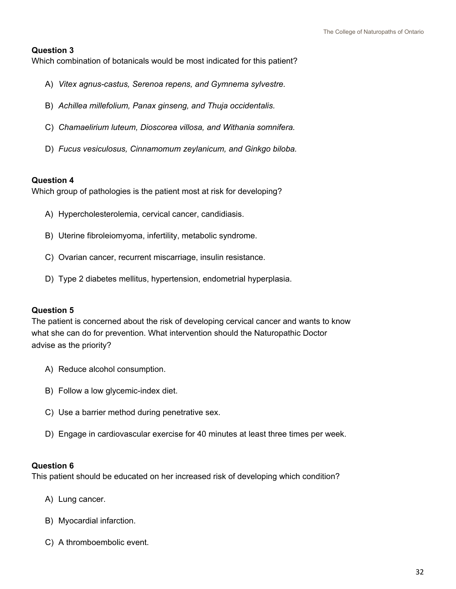#### **Question 3**

Which combination of botanicals would be most indicated for this patient?

- A) *Vitex agnus-castus, Serenoa repens, and Gymnema sylvestre.*
- B) *Achillea millefolium, Panax ginseng, and Thuja occidentalis.*
- C) *Chamaelirium luteum, Dioscorea villosa, and Withania somnifera.*
- D) *Fucus vesiculosus, Cinnamomum zeylanicum, and Ginkgo biloba.*

#### **Question 4**

Which group of pathologies is the patient most at risk for developing?

- A) Hypercholesterolemia, cervical cancer, candidiasis.
- B) Uterine fibroleiomyoma, infertility, metabolic syndrome.
- C) Ovarian cancer, recurrent miscarriage, insulin resistance.
- D) Type 2 diabetes mellitus, hypertension, endometrial hyperplasia.

#### **Question 5**

The patient is concerned about the risk of developing cervical cancer and wants to know what she can do for prevention. What intervention should the Naturopathic Doctor advise as the priority?

- A) Reduce alcohol consumption.
- B) Follow a low glycemic-index diet.
- C) Use a barrier method during penetrative sex.
- D) Engage in cardiovascular exercise for 40 minutes at least three times per week.

#### **Question 6**

This patient should be educated on her increased risk of developing which condition?

- A) Lung cancer.
- B) Myocardial infarction.
- C) A thromboembolic event.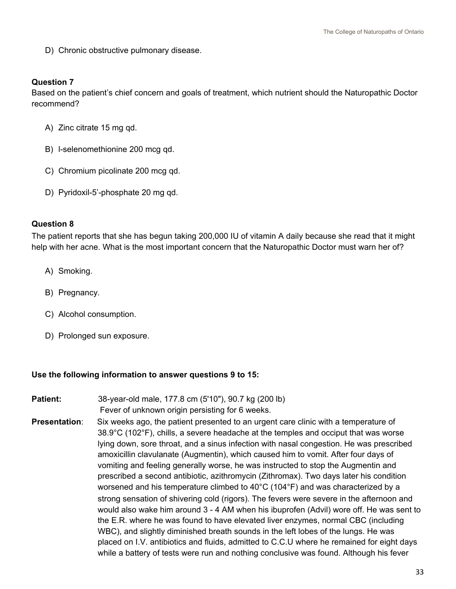D) Chronic obstructive pulmonary disease.

#### **Question 7**

Based on the patient's chief concern and goals of treatment, which nutrient should the Naturopathic Doctor recommend?

- A) Zinc citrate 15 mg qd.
- B) l-selenomethionine 200 mcg qd.
- C) Chromium picolinate 200 mcg qd.
- D) Pyridoxil-5'-phosphate 20 mg qd.

#### **Question 8**

The patient reports that she has begun taking 200,000 IU of vitamin A daily because she read that it might help with her acne. What is the most important concern that the Naturopathic Doctor must warn her of?

- A) Smoking.
- B) Pregnancy.
- C) Alcohol consumption.
- D) Prolonged sun exposure.

#### **Use the following information to answer questions 9 to 15:**

- **Patient:** 38-year-old male, 177.8 cm (5'10"), 90.7 kg (200 lb) Fever of unknown origin persisting for 6 weeks.
- **Presentation**: Six weeks ago, the patient presented to an urgent care clinic with a temperature of 38.9°C (102°F), chills, a severe headache at the temples and occiput that was worse lying down, sore throat, and a sinus infection with nasal congestion. He was prescribed amoxicillin clavulanate (Augmentin), which caused him to vomit. After four days of vomiting and feeling generally worse, he was instructed to stop the Augmentin and prescribed a second antibiotic, azithromycin (Zithromax). Two days later his condition worsened and his temperature climbed to 40°C (104°F) and was characterized by a strong sensation of shivering cold (rigors). The fevers were severe in the afternoon and would also wake him around 3 - 4 AM when his ibuprofen (Advil) wore off. He was sent to the E.R. where he was found to have elevated liver enzymes, normal CBC (including WBC), and slightly diminished breath sounds in the left lobes of the lungs. He was placed on I.V. antibiotics and fluids, admitted to C.C.U where he remained for eight days while a battery of tests were run and nothing conclusive was found. Although his fever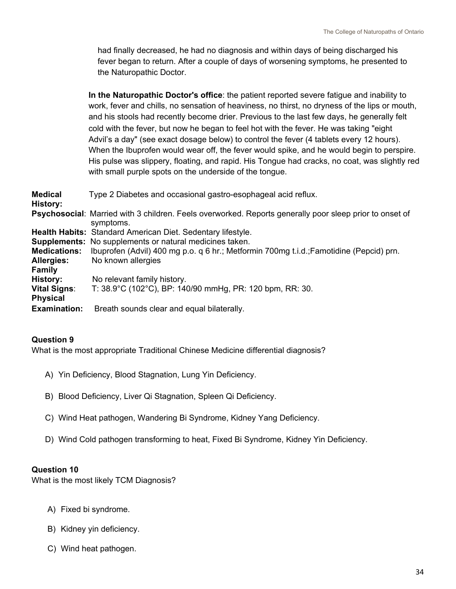had finally decreased, he had no diagnosis and within days of being discharged his fever began to return. After a couple of days of worsening symptoms, he presented to the Naturopathic Doctor.

 **In the Naturopathic Doctor's office**: the patient reported severe fatigue and inability to work, fever and chills, no sensation of heaviness, no thirst, no dryness of the lips or mouth, and his stools had recently become drier. Previous to the last few days, he generally felt cold with the fever, but now he began to feel hot with the fever. He was taking "eight Advil's a day" (see exact dosage below) to control the fever (4 tablets every 12 hours). When the Ibuprofen would wear off, the fever would spike, and he would begin to perspire. His pulse was slippery, floating, and rapid. His Tongue had cracks, no coat, was slightly red with small purple spots on the underside of the tongue.

| <b>Medical</b><br>History: | Type 2 Diabetes and occasional gastro-esophageal acid reflux.                                                               |
|----------------------------|-----------------------------------------------------------------------------------------------------------------------------|
|                            | <b>Psychosocial:</b> Married with 3 children. Feels overworked. Reports generally poor sleep prior to onset of<br>symptoms. |
|                            | <b>Health Habits: Standard American Diet. Sedentary lifestyle.</b>                                                          |
|                            | <b>Supplements:</b> No supplements or natural medicines taken.                                                              |
| <b>Medications:</b>        | Ibuprofen (Advil) 400 mg p.o. q 6 hr.; Metformin 700mg t.i.d.; Famotidine (Pepcid) prn.                                     |
| <b>Allergies:</b>          | No known allergies                                                                                                          |
| <b>Family</b>              |                                                                                                                             |
| History:                   | No relevant family history.                                                                                                 |
| <b>Vital Signs:</b>        | T: 38.9°C (102°C), BP: 140/90 mmHg, PR: 120 bpm, RR: 30.                                                                    |
| <b>Physical</b>            |                                                                                                                             |
| <b>Examination:</b>        | Breath sounds clear and equal bilaterally.                                                                                  |

#### **Question 9**

What is the most appropriate Traditional Chinese Medicine differential diagnosis?

- A) Yin Deficiency, Blood Stagnation, Lung Yin Deficiency.
- B) Blood Deficiency, Liver Qi Stagnation, Spleen Qi Deficiency.
- C) Wind Heat pathogen, Wandering Bi Syndrome, Kidney Yang Deficiency.
- D) Wind Cold pathogen transforming to heat, Fixed Bi Syndrome, Kidney Yin Deficiency.

#### **Question 10**

What is the most likely TCM Diagnosis?

- A) Fixed bi syndrome.
- B) Kidney yin deficiency.
- C) Wind heat pathogen.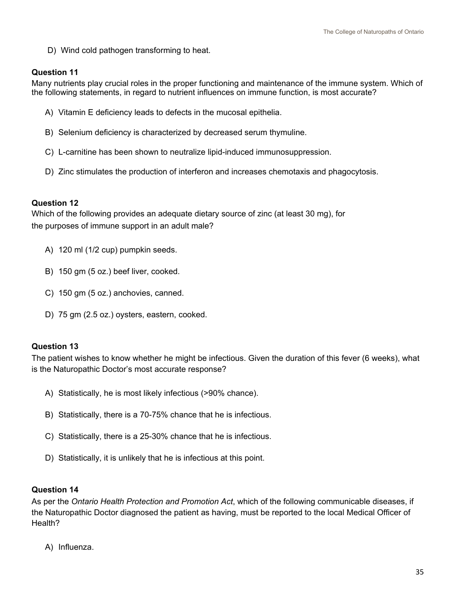D) Wind cold pathogen transforming to heat.

#### **Question 11**

Many nutrients play crucial roles in the proper functioning and maintenance of the immune system. Which of the following statements, in regard to nutrient influences on immune function, is most accurate?

- A) Vitamin E deficiency leads to defects in the mucosal epithelia.
- B) Selenium deficiency is characterized by decreased serum thymuline.
- C) L-carnitine has been shown to neutralize lipid-induced immunosuppression.
- D) Zinc stimulates the production of interferon and increases chemotaxis and phagocytosis.

#### **Question 12**

Which of the following provides an adequate dietary source of zinc (at least 30 mg), for the purposes of immune support in an adult male?

- A) 120 ml (1/2 cup) pumpkin seeds.
- B) 150 gm (5 oz.) beef liver, cooked.
- C) 150 gm (5 oz.) anchovies, canned.
- D) 75 gm (2.5 oz.) oysters, eastern, cooked.

#### **Question 13**

The patient wishes to know whether he might be infectious. Given the duration of this fever (6 weeks), what is the Naturopathic Doctor's most accurate response?

- A) Statistically, he is most likely infectious (>90% chance).
- B) Statistically, there is a 70-75% chance that he is infectious.
- C) Statistically, there is a 25-30% chance that he is infectious.
- D) Statistically, it is unlikely that he is infectious at this point.

#### **Question 14**

As per the *Ontario Health Protection and Promotion Act*, which of the following communicable diseases, if the Naturopathic Doctor diagnosed the patient as having, must be reported to the local Medical Officer of Health?

A) Influenza.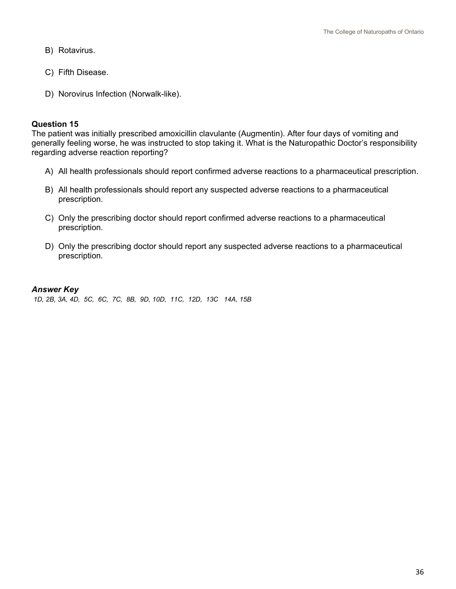- B) Rotavirus.
- C) Fifth Disease.
- D) Norovirus Infection (Norwalk-like).

#### **Question 15**

The patient was initially prescribed amoxicillin clavulante (Augmentin). After four days of vomiting and generally feeling worse, he was instructed to stop taking it. What is the Naturopathic Doctor's responsibility regarding adverse reaction reporting?

- A) All health professionals should report confirmed adverse reactions to a pharmaceutical prescription.
- B) All health professionals should report any suspected adverse reactions to a pharmaceutical prescription.
- C) Only the prescribing doctor should report confirmed adverse reactions to a pharmaceutical prescription.
- D) Only the prescribing doctor should report any suspected adverse reactions to a pharmaceutical prescription.

#### *Answer Key*

*1D, 2B, 3A, 4D, 5C, 6C, 7C, 8B, 9D, 10D, 11C, 12D, 13C 14A, 15B*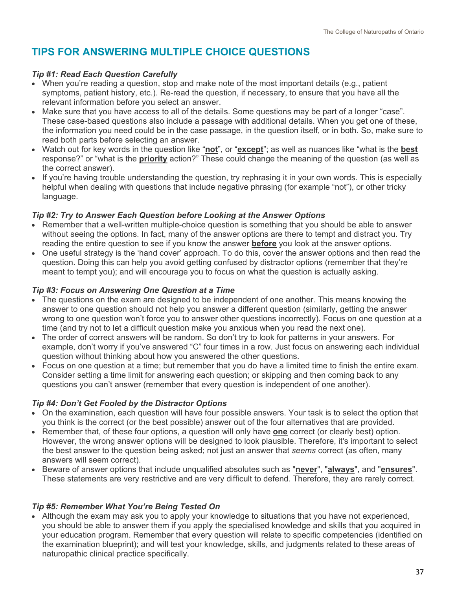## <span id="page-37-0"></span>**TIPS FOR ANSWERING MULTIPLE CHOICE QUESTIONS**

#### *Tip #1: Read Each Question Carefully*

- When you're reading a question, stop and make note of the most important details (e.g., patient symptoms, patient history, etc.). Re-read the question, if necessary, to ensure that you have all the relevant information before you select an answer.
- Make sure that you have access to all of the details. Some questions may be part of a longer "case". These case-based questions also include a passage with additional details. When you get one of these, the information you need could be in the case passage, in the question itself, or in both. So, make sure to read both parts before selecting an answer.
- Watch out for key words in the question like "**not**", or "**except**"; as well as nuances like "what is the **best** response?" or "what is the **priority** action?" These could change the meaning of the question (as well as the correct answer).
- If you're having trouble understanding the question, try rephrasing it in your own words. This is especially helpful when dealing with questions that include negative phrasing (for example "not"), or other tricky language.

#### *Tip #2: Try to Answer Each Question before Looking at the Answer Options*

- Remember that a well-written multiple-choice question is something that you should be able to answer without seeing the options. In fact, many of the answer options are there to tempt and distract you. Try reading the entire question to see if you know the answer **before** you look at the answer options.
- One useful strategy is the 'hand cover' approach. To do this, cover the answer options and then read the question. Doing this can help you avoid getting confused by distractor options (remember that they're meant to tempt you); and will encourage you to focus on what the question is actually asking.

#### *Tip #3: Focus on Answering One Question at a Time*

- The questions on the exam are designed to be independent of one another. This means knowing the answer to one question should not help you answer a different question (similarly, getting the answer wrong to one question won't force you to answer other questions incorrectly). Focus on one question at a time (and try not to let a difficult question make you anxious when you read the next one).
- The order of correct answers will be random. So don't try to look for patterns in your answers. For example, don't worry if you've answered "C" four times in a row. Just focus on answering each individual question without thinking about how you answered the other questions.
- Focus on one question at a time; but remember that you do have a limited time to finish the entire exam. Consider setting a time limit for answering each question; or skipping and then coming back to any questions you can't answer (remember that every question is independent of one another).

#### *Tip #4: Don't Get Fooled by the Distractor Options*

- On the examination, each question will have four possible answers. Your task is to select the option that you think is the correct (or the best possible) answer out of the four alternatives that are provided.
- Remember that, of these four options, a question will only have **one** correct (or clearly best) option. However, the wrong answer options will be designed to look plausible. Therefore, it's important to select the best answer to the question being asked; not just an answer that *seems* correct (as often, many answers will seem correct).
- Beware of answer options that include unqualified absolutes such as "**never**", "**always**", and "**ensures**". These statements are very restrictive and are very difficult to defend. Therefore, they are rarely correct.

#### *Tip #5: Remember What You're Being Tested On*

• Although the exam may ask you to apply your knowledge to situations that you have not experienced, you should be able to answer them if you apply the specialised knowledge and skills that you acquired in your education program. Remember that every question will relate to specific competencies (identified on the examination blueprint); and will test your knowledge, skills, and judgments related to these areas of naturopathic clinical practice specifically.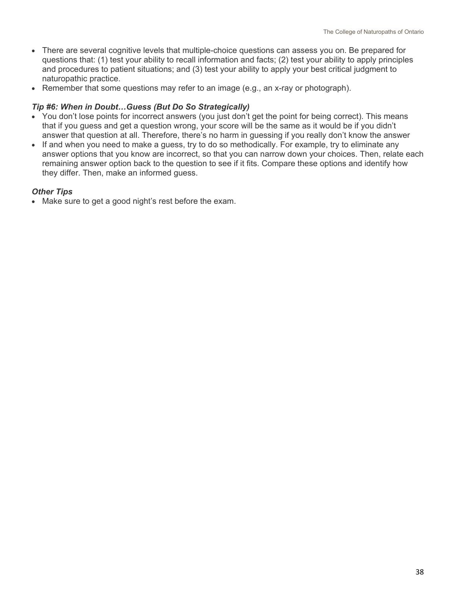- There are several cognitive levels that multiple-choice questions can assess you on. Be prepared for questions that: (1) test your ability to recall information and facts; (2) test your ability to apply principles and procedures to patient situations; and (3) test your ability to apply your best critical judgment to naturopathic practice.
- Remember that some questions may refer to an image (e.g., an x-ray or photograph).

#### *Tip #6: When in Doubt…Guess (But Do So Strategically)*

- You don't lose points for incorrect answers (you just don't get the point for being correct). This means that if you guess and get a question wrong, your score will be the same as it would be if you didn't answer that question at all. Therefore, there's no harm in guessing if you really don't know the answer
- If and when you need to make a guess, try to do so methodically. For example, try to eliminate any answer options that you know are incorrect, so that you can narrow down your choices. Then, relate each remaining answer option back to the question to see if it fits. Compare these options and identify how they differ. Then, make an informed guess.

#### *Other Tips*

• Make sure to get a good night's rest before the exam.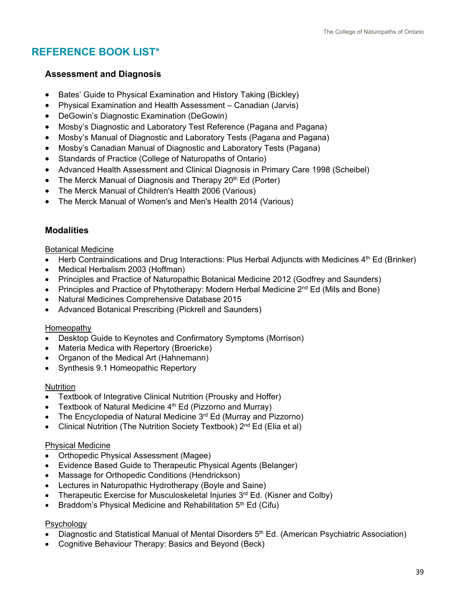## <span id="page-39-0"></span>**REFERENCE BOOK LIST\***

#### **Assessment and Diagnosis**

- Bates' Guide to Physical Examination and History Taking (Bickley)
- Physical Examination and Health Assessment Canadian (Jarvis)
- DeGowin's Diagnostic Examination (DeGowin)
- Mosby's Diagnostic and Laboratory Test Reference (Pagana and Pagana)
- Mosby's Manual of Diagnostic and Laboratory Tests (Pagana and Pagana)
- Mosby's Canadian Manual of Diagnostic and Laboratory Tests (Pagana)
- Standards of Practice (College of Naturopaths of Ontario)
- Advanced Health Assessment and Clinical Diagnosis in Primary Care 1998 (Scheibel)
- The Merck Manual of Diagnosis and Therapy  $20<sup>th</sup>$  Ed (Porter)
- The Merck Manual of Children's Health 2006 (Various)
- The Merck Manual of Women's and Men's Health 2014 (Various)

#### **Modalities**

Botanical Medicine

- Herb Contraindications and Drug Interactions: Plus Herbal Adjuncts with Medicines 4<sup>th</sup> Ed (Brinker)
- Medical Herbalism 2003 (Hoffman)
- Principles and Practice of Naturopathic Botanical Medicine 2012 (Godfrey and Saunders)
- Principles and Practice of Phytotherapy: Modern Herbal Medicine  $2^{nd}$  Ed (Mils and Bone)
- Natural Medicines Comprehensive Database 2015
- Advanced Botanical Prescribing (Pickrell and Saunders)

#### Homeopathy

- Desktop Guide to Keynotes and Confirmatory Symptoms (Morrison)
- Materia Medica with Repertory (Broericke)
- Organon of the Medical Art (Hahnemann)
- Synthesis 9.1 Homeopathic Repertory

#### **Nutrition**

- Textbook of Integrative Clinical Nutrition (Prousky and Hoffer)
- Textbook of Natural Medicine  $4<sup>th</sup>$  Ed (Pizzorno and Murray)
- The Encyclopedia of Natural Medicine 3<sup>rd</sup> Ed (Murray and Pizzorno)
- Clinical Nutrition (The Nutrition Society Textbook) 2<sup>nd</sup> Ed (Elia et al)

#### Physical Medicine

- Orthopedic Physical Assessment (Magee)
- Evidence Based Guide to Therapeutic Physical Agents (Belanger)
- Massage for Orthopedic Conditions (Hendrickson)
- Lectures in Naturopathic Hydrotherapy (Boyle and Saine)
- Therapeutic Exercise for Musculoskeletal Injuries  $3<sup>rd</sup>$  Ed. (Kisner and Colby)
- Braddom's Physical Medicine and Rehabilitation  $5<sup>th</sup>$  Ed (Cifu)

#### Psychology

- Diagnostic and Statistical Manual of Mental Disorders  $5<sup>th</sup>$  Ed. (American Psychiatric Association)
- Cognitive Behaviour Therapy: Basics and Beyond (Beck)